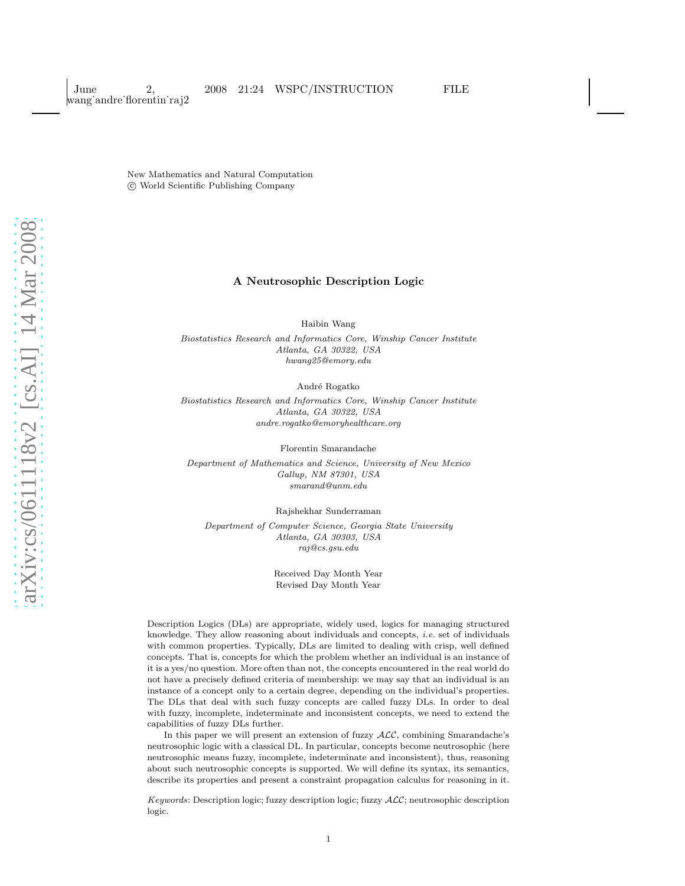New Mathematics and Natural Computation c World Scientific Publishing Company

#### A Neutrosophic Description Logic

Haibin Wang

Biostatistics Research and Informatics Core, Winship Cancer Institute Atlanta, GA 30322, USA hwang25@emory.edu

André Rogatko

Biostatistics Research and Informatics Core, Winship Cancer Institute Atlanta, GA 30322, USA andre.rogatko@emoryhealthcare.org

Florentin Smarandache

Department of Mathematics and Science, University of New Mexico Gallup, NM 87301, USA smarand@unm.edu

Rajshekhar Sunderraman Department of Computer Science, Georgia State University Atlanta, GA 30303, USA raj@cs.gsu.edu

> Received Day Month Year Revised Day Month Year

Description Logics (DLs) are appropriate, widely used, logics for managing structured knowledge. They allow reasoning about individuals and concepts, i.e. set of individuals with common properties. Typically, DLs are limited to dealing with crisp, well defined concepts. That is, concepts for which the problem whether an individual is an instance of it is a yes/no question. More often than not, the concepts encountered in the real world do not have a precisely defined criteria of membership: we may say that an individual is an instance of a concept only to a certain degree, depending on the individual's properties. The DLs that deal with such fuzzy concepts are called fuzzy DLs. In order to deal with fuzzy, incomplete, indeterminate and inconsistent concepts, we need to extend the capabilities of fuzzy DLs further.

In this paper we will present an extension of fuzzy  $\text{ALC}$ , combining Smarandache's neutrosophic logic with a classical DL. In particular, concepts become neutrosophic (here neutrosophic means fuzzy, incomplete, indeterminate and inconsistent), thus, reasoning about such neutrosophic concepts is supported. We will define its syntax, its semantics, describe its properties and present a constraint propagation calculus for reasoning in it.

Keywords: Description logic; fuzzy description logic; fuzzy ALC; neutrosophic description logic.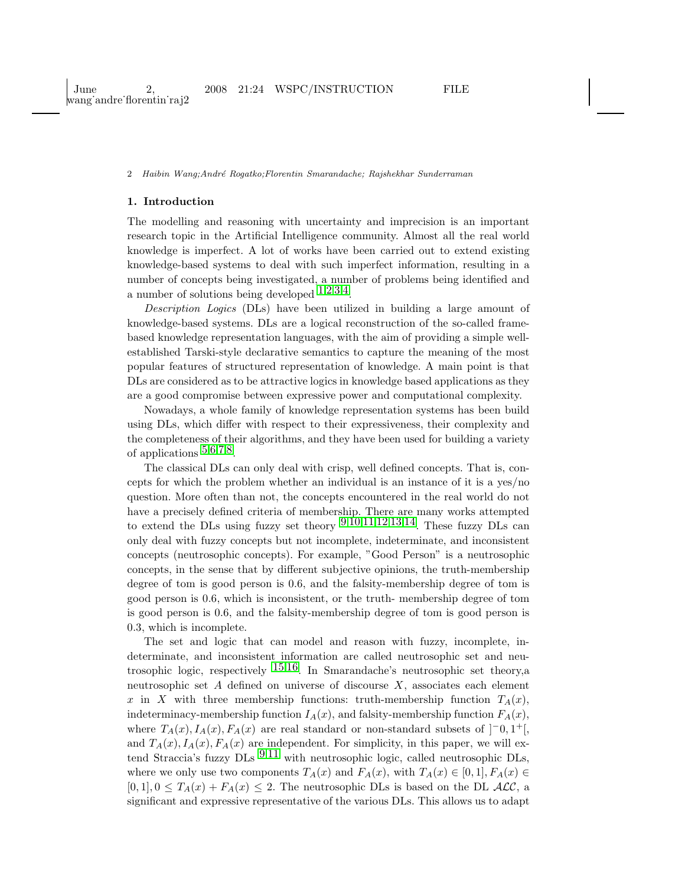# 1. Introduction

The modelling and reasoning with uncertainty and imprecision is an important research topic in the Artificial Intelligence community. Almost all the real world knowledge is imperfect. A lot of works have been carried out to extend existing knowledge-based systems to deal with such imperfect information, resulting in a number of concepts being investigated, a number of problems being identified and a number of solutions being developed  $1,2,3,4$  $1,2,3,4$  $1,2,3,4$  $1,2,3,4$  $1,2,3,4$  $1,2,3,4$ .

Description Logics (DLs) have been utilized in building a large amount of knowledge-based systems. DLs are a logical reconstruction of the so-called framebased knowledge representation languages, with the aim of providing a simple wellestablished Tarski-style declarative semantics to capture the meaning of the most popular features of structured representation of knowledge. A main point is that DLs are considered as to be attractive logics in knowledge based applications as they are a good compromise between expressive power and computational complexity.

Nowadays, a whole family of knowledge representation systems has been build using DLs, which differ with respect to their expressiveness, their complexity and the completeness of their algorithms, and they have been used for building a variety of applications  $5,6,7,8$  $5,6,7,8$  $5,6,7,8$  $5,6,7,8$  $5,6,7,8$  $5,6,7,8$  $5,6,7,8$ .

The classical DLs can only deal with crisp, well defined concepts. That is, concepts for which the problem whether an individual is an instance of it is a yes/no question. More often than not, the concepts encountered in the real world do not have a precisely defined criteria of membership. There are many works attempted to extend the DLs using fuzzy set theory  $9,10,11,12,13,14$  $9,10,11,12,13,14$  $9,10,11,12,13,14$  $9,10,11,12,13,14$  $9,10,11,12,13,14$  $9,10,11,12,13,14$  $9,10,11,12,13,14$  $9,10,11,12,13,14$  $9,10,11,12,13,14$  $9,10,11,12,13,14$ . These fuzzy DLs can only deal with fuzzy concepts but not incomplete, indeterminate, and inconsistent concepts (neutrosophic concepts). For example, "Good Person" is a neutrosophic concepts, in the sense that by different subjective opinions, the truth-membership degree of tom is good person is 0.6, and the falsity-membership degree of tom is good person is 0.6, which is inconsistent, or the truth- membership degree of tom is good person is 0.6, and the falsity-membership degree of tom is good person is 0.3, which is incomplete.

The set and logic that can model and reason with fuzzy, incomplete, indeterminate, and inconsistent information are called neutrosophic set and neutrosophic logic, respectively [15](#page-18-5),[16.](#page-18-6) In Smarandache's neutrosophic set theory,a neutrosophic set  $A$  defined on universe of discourse  $X$ , associates each element x in X with three membership functions: truth-membership function  $T_A(x)$ , indeterminacy-membership function  $I_A(x)$ , and falsity-membership function  $F_A(x)$ , where  $T_A(x)$ ,  $I_A(x)$ ,  $F_A(x)$  are real standard or non-standard subsets of  $]$ <sup>-</sup>0, 1<sup>+</sup>[, and  $T_A(x)$ ,  $I_A(x)$ ,  $F_A(x)$  are independent. For simplicity, in this paper, we will extend Straccia's fuzzy  $\text{DLs}$   $\frac{9,11}{9,11}$  $\frac{9,11}{9,11}$  $\frac{9,11}{9,11}$  $\frac{9,11}{9,11}$  $\frac{9,11}{9,11}$  with neutrosophic logic, called neutrosophic  $\text{DLs}$ , where we only use two components  $T_A(x)$  and  $F_A(x)$ , with  $T_A(x) \in [0,1], F_A(x) \in$  $[0, 1], 0 \leq T_A(x) + F_A(x) \leq 2$ . The neutrosophic DLs is based on the DL  $\mathcal{ALC}$ , a significant and expressive representative of the various DLs. This allows us to adapt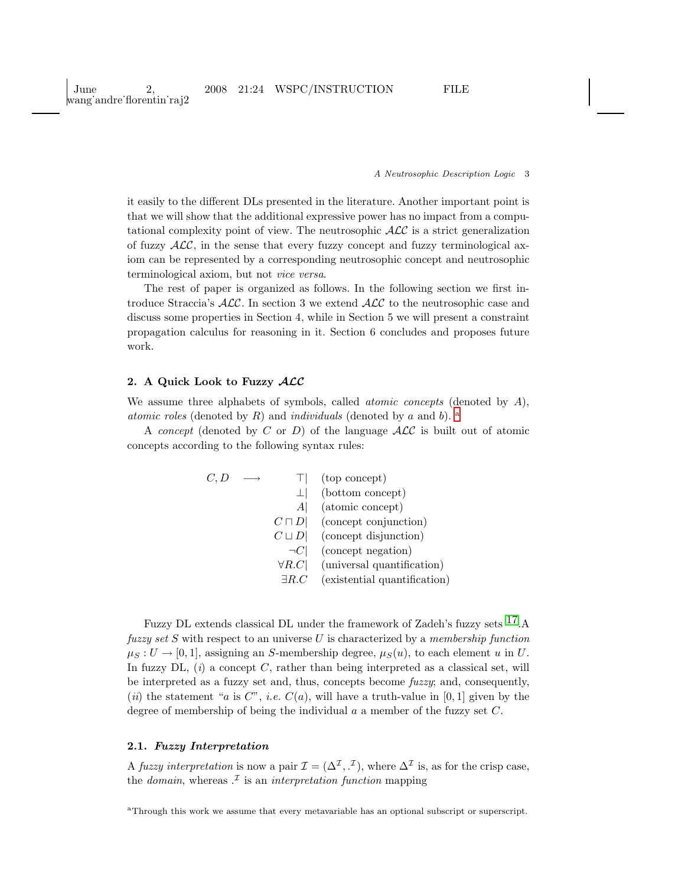June 2, 2008 21:24 WSPC/INSTRUCTION FILE wang˙andre˙florentin˙raj2

#### A Neutrosophic Description Logic 3

it easily to the different DLs presented in the literature. Another important point is that we will show that the additional expressive power has no impact from a computational complexity point of view. The neutrosophic  $\mathcal{ALC}$  is a strict generalization of fuzzy  $\mathcal{ALC}$ , in the sense that every fuzzy concept and fuzzy terminological axiom can be represented by a corresponding neutrosophic concept and neutrosophic terminological axiom, but not vice versa.

The rest of paper is organized as follows. In the following section we first introduce Straccia's  $\text{ALC}$ . In section 3 we extend  $\text{ALC}$  to the neutrosophic case and discuss some properties in Section 4, while in Section 5 we will present a constraint propagation calculus for reasoning in it. Section 6 concludes and proposes future work.

# 2. A Quick Look to Fuzzy ALC

We assume three alphabets of symbols, called *atomic concepts* (denoted by  $\hat{A}$ ), [a](#page-2-0)tomic roles (denoted by R) and individuals (denoted by a and b).  $^{\rm a}$ 

A concept (denoted by C or D) of the language  $\text{ALC}$  is built out of atomic concepts according to the following syntax rules:

| C,D |               | (top concept)                |
|-----|---------------|------------------------------|
|     |               | (bottom concept)             |
|     | Al            | (atomic concept)             |
|     | $C\sqcap D$   | (concept conjunction)        |
|     | $C \sqcup D$  | (concept disjunction)        |
|     | $\neg C$      | (concept negation)           |
|     | $\forall R.C$ | (universal quantification)   |
|     | $\exists R.C$ | (existential quantification) |

Fuzzy DL extends classical DL under the framework of Zadeh's fuzzy sets [17.](#page-18-7)A fuzzy set  $S$  with respect to an universe  $U$  is characterized by a membership function  $\mu_S : U \to [0, 1]$ , assigning an S-membership degree,  $\mu_S(u)$ , to each element u in U. In fuzzy DL,  $(i)$  a concept C, rather than being interpreted as a classical set, will be interpreted as a fuzzy set and, thus, concepts become fuzzy; and, consequently, (*ii*) the statement "*a* is C", *i.e.*  $C(a)$ , will have a truth-value in [0, 1] given by the degree of membership of being the individual  $a$  a member of the fuzzy set  $C$ .

# 2.1. Fuzzy Interpretation

A fuzzy interpretation is now a pair  $\mathcal{I} = (\Delta^{\mathcal{I}}, \cdot^{\mathcal{I}})$ , where  $\Delta^{\mathcal{I}}$  is, as for the crisp case, the *domain*, whereas  $\cdot^{\mathcal{I}}$  is an *interpretation function* mapping

<span id="page-2-0"></span><sup>a</sup>Through this work we assume that every metavariable has an optional subscript or superscript.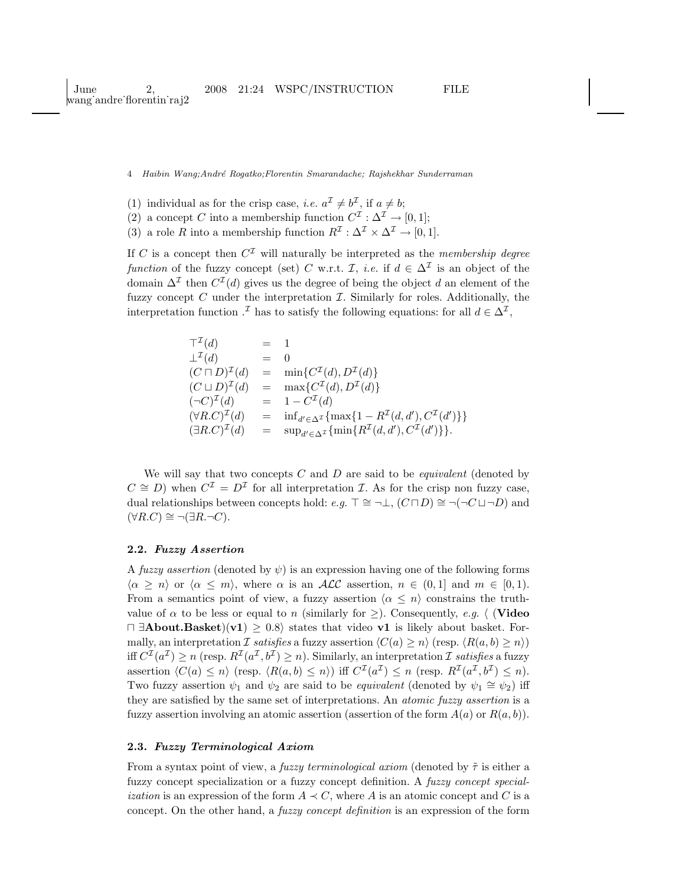- (1) individual as for the crisp case, *i.e.*  $a^{\mathcal{I}} \neq b^{\mathcal{I}}$ , if  $a \neq b$ ;
- (2) a concept C into a membership function  $C^{\mathcal{I}} : \Delta^{\mathcal{I}} \to [0,1];$
- (3) a role R into a membership function  $R^{\mathcal{I}} : \Delta^{\mathcal{I}} \times \Delta^{\mathcal{I}} \to [0, 1].$

If C is a concept then  $C^{I}$  will naturally be interpreted as the *membership degree* function of the fuzzy concept (set) C w.r.t. I, *i.e.* if  $d \in \Delta^{\mathcal{I}}$  is an object of the domain  $\Delta^{\mathcal{I}}$  then  $C^{\mathcal{I}}(d)$  gives us the degree of being the object d an element of the fuzzy concept  $C$  under the interpretation  $\mathcal{I}$ . Similarly for roles. Additionally, the interpretation function  $\cdot^{\mathcal{I}}$  has to satisfy the following equations: for all  $d \in \Delta^{\mathcal{I}}$ ,

$$
\begin{array}{rcl}\n\mathbf{T}^{\mathcal{I}}(d) & = & 1 \\
\mathbf{\perp}^{\mathcal{I}}(d) & = & 0 \\
(C \sqcap D)^{\mathcal{I}}(d) & = & \min\{C^{\mathcal{I}}(d), D^{\mathcal{I}}(d)\} \\
(C \sqcup D)^{\mathcal{I}}(d) & = & \max\{C^{\mathcal{I}}(d), D^{\mathcal{I}}(d)\} \\
(\neg C)^{\mathcal{I}}(d) & = & 1 - C^{\mathcal{I}}(d) \\
(\forall R.C)^{\mathcal{I}}(d) & = & \inf_{d' \in \Delta^{\mathcal{I}}} \{\max\{1 - R^{\mathcal{I}}(d, d'), C^{\mathcal{I}}(d')\}\} \\
(\exists R.C)^{\mathcal{I}}(d) & = & \sup_{d' \in \Delta^{\mathcal{I}}} \{\min\{R^{\mathcal{I}}(d, d'), C^{\mathcal{I}}(d')\}\}.\n\end{array}
$$

We will say that two concepts  $C$  and  $D$  are said to be *equivalent* (denoted by  $C \cong D$ ) when  $C^{\mathcal{I}} = D^{\mathcal{I}}$  for all interpretation  $\mathcal{I}$ . As for the crisp non fuzzy case, dual relationships between concepts hold: e.g.  $\top \cong \neg \bot$ ,  $(C \sqcap D) \cong \neg (\neg C \sqcup \neg D)$  and  $(\forall R.C) \cong \neg (\exists R.\neg C).$ 

### 2.2. Fuzzy Assertion

A fuzzy assertion (denoted by  $\psi$ ) is an expression having one of the following forms  $\langle \alpha \geq n \rangle$  or  $\langle \alpha \leq m \rangle$ , where  $\alpha$  is an ALC assertion,  $n \in (0,1]$  and  $m \in [0,1)$ . From a semantics point of view, a fuzzy assertion  $\langle \alpha \leq n \rangle$  constrains the truthvalue of  $\alpha$  to be less or equal to n (similarly for  $\geq$ ). Consequently, e.g.  $\langle$  (Video  $\Box$  **Example 1** = 0.8) states that video v1 is likely about basket. Formally, an interpretation I satisfies a fuzzy assertion  $\langle C(a) \geq n \rangle$  (resp.  $\langle R(a, b) \geq n \rangle$ ) iff  $C^{\mathcal{I}}(a^{\mathcal{I}}) \geq n$  (resp.  $R^{\mathcal{I}}(a^{\mathcal{I}}, b^{\mathcal{I}}) \geq n$ ). Similarly, an interpretation  $\mathcal{I}$  satisfies a fuzzy assertion  $\langle C(a) \leq n \rangle$  (resp.  $\langle R(a, b) \leq n \rangle$ ) iff  $C^{T}(a^{T}) \leq n$  (resp.  $R^{T}(a^{T}, b^{T}) \leq n$ ). Two fuzzy assertion  $\psi_1$  and  $\psi_2$  are said to be *equivalent* (denoted by  $\psi_1 \cong \psi_2$ ) iff they are satisfied by the same set of interpretations. An atomic fuzzy assertion is a fuzzy assertion involving an atomic assertion (assertion of the form  $A(a)$  or  $R(a, b)$ ).

#### 2.3. Fuzzy Terminological Axiom

From a syntax point of view, a *fuzzy terminological axiom* (denoted by  $\tilde{\tau}$  is either a fuzzy concept specialization or a fuzzy concept definition. A fuzzy concept special*ization* is an expression of the form  $A \prec C$ , where A is an atomic concept and C is a concept. On the other hand, a *fuzzy concept definition* is an expression of the form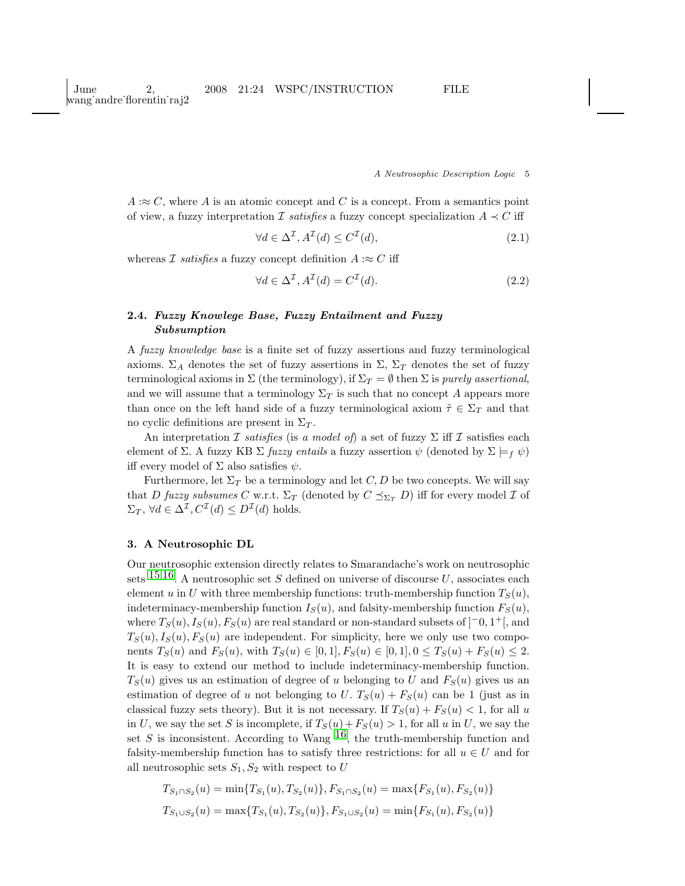$A \approx C$ , where A is an atomic concept and C is a concept. From a semantics point of view, a fuzzy interpretation  $\mathcal I$  satisfies a fuzzy concept specialization  $A \prec C$  iff

$$
\forall d \in \Delta^{\mathcal{I}}, A^{\mathcal{I}}(d) \le C^{\mathcal{I}}(d),\tag{2.1}
$$

whereas *I* satisfies a fuzzy concept definition  $A : \approx C$  iff

$$
\forall d \in \Delta^{\mathcal{I}}, A^{\mathcal{I}}(d) = C^{\mathcal{I}}(d). \tag{2.2}
$$

# 2.4. Fuzzy Knowlege Base, Fuzzy Entailment and Fuzzy Subsumption

A fuzzy knowledge base is a finite set of fuzzy assertions and fuzzy terminological axioms.  $\Sigma_A$  denotes the set of fuzzy assertions in  $\Sigma$ ,  $\Sigma_T$  denotes the set of fuzzy terminological axioms in  $\Sigma$  (the terminology), if  $\Sigma_T = \emptyset$  then  $\Sigma$  is purely assertional, and we will assume that a terminology  $\Sigma_T$  is such that no concept A appears more than once on the left hand side of a fuzzy terminological axiom  $\tilde{\tau} \in \Sigma_T$  and that no cyclic definitions are present in  $\Sigma_T$ .

An interpretation I satisfies (is a model of) a set of fuzzy  $\Sigma$  iff I satisfies each element of Σ. A fuzzy KB Σ fuzzy entails a fuzzy assertion  $\psi$  (denoted by  $\Sigma \models_f \psi$ ) iff every model of  $\Sigma$  also satisfies  $\psi$ .

Furthermore, let  $\Sigma_T$  be a terminology and let C, D be two concepts. We will say that D fuzzy subsumes C w.r.t.  $\Sigma_T$  (denoted by  $C \preceq_{\Sigma_T} D$ ) iff for every model  $\mathcal I$  of  $\Sigma_T$ ,  $\forall d \in \Delta^{\mathcal{I}}, C^{\mathcal{I}}(d) \leq D^{\mathcal{I}}(d)$  holds.

## 3. A Neutrosophic DL

Our neutrosophic extension directly relates to Smarandache's work on neutrosophic sets  $15,16$  $15,16$ . A neutrosophic set S defined on universe of discourse U, associates each element u in U with three membership functions: truth-membership function  $T_S(u)$ , indeterminacy-membership function  $I_S(u)$ , and falsity-membership function  $F_S(u)$ , where  $T_S(u)$ ,  $I_S(u)$ ,  $F_S(u)$  are real standard or non-standard subsets of  $]$ <sup>-0</sup>, 1<sup>+</sup>[, and  $T_S(u)$ ,  $I_S(u)$ ,  $F_S(u)$  are independent. For simplicity, here we only use two components  $T_S(u)$  and  $F_S(u)$ , with  $T_S(u) \in [0,1], F_S(u) \in [0,1], 0 \le T_S(u) + F_S(u) \le 2$ . It is easy to extend our method to include indeterminacy-membership function.  $T_S(u)$  gives us an estimation of degree of u belonging to U and  $F_S(u)$  gives us an estimation of degree of u not belonging to U.  $T_S(u) + F_S(u)$  can be 1 (just as in classical fuzzy sets theory). But it is not necessary. If  $T_S(u) + F_S(u) < 1$ , for all u in U, we say the set S is incomplete, if  $T_S(u) + F_S(u) > 1$ , for all u in U, we say the set S is inconsistent. According to Wang  $^{16}$ , the truth-membership function and falsity-membership function has to satisfy three restrictions: for all  $u \in U$  and for all neutrosophic sets  $S_1, S_2$  with respect to U

$$
T_{S_1 \cap S_2}(u) = \min\{T_{S_1}(u), T_{S_2}(u)\}, F_{S_1 \cap S_2}(u) = \max\{F_{S_1}(u), F_{S_2}(u)\}
$$
  

$$
T_{S_1 \cup S_2}(u) = \max\{T_{S_1}(u), T_{S_2}(u)\}, F_{S_1 \cup S_2}(u) = \min\{F_{S_1}(u), F_{S_2}(u)\}
$$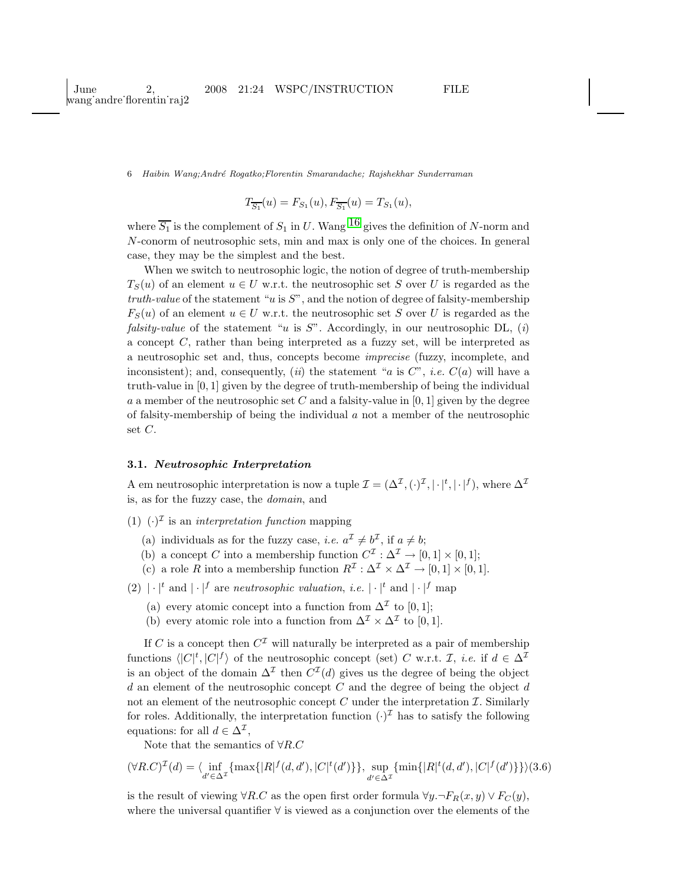$$
T_{\overline{S_1}}(u) = F_{S_1}(u), F_{\overline{S_1}}(u) = T_{S_1}(u),
$$

where  $\overline{S_1}$  is the complement of  $S_1$  in U. Wang <sup>[16](#page-18-6)</sup> gives the definition of N-norm and N-conorm of neutrosophic sets, min and max is only one of the choices. In general case, they may be the simplest and the best.

When we switch to neutrosophic logic, the notion of degree of truth-membership  $T_S(u)$  of an element  $u \in U$  w.r.t. the neutrosophic set S over U is regarded as the truth-value of the statement "u is  $S$ ", and the notion of degree of falsity-membership  $F_S(u)$  of an element  $u \in U$  w.r.t. the neutrosophic set S over U is regarded as the *falsity-value* of the statement "u is S". Accordingly, in our neutrosophic DL, (i) a concept C, rather than being interpreted as a fuzzy set, will be interpreted as a neutrosophic set and, thus, concepts become imprecise (fuzzy, incomplete, and inconsistent); and, consequently, (ii) the statement "a is  $C$ ", *i.e.*  $C(a)$  will have a truth-value in [0, 1] given by the degree of truth-membership of being the individual a a member of the neutrosophic set C and a falsity-value in  $[0, 1]$  given by the degree of falsity-membership of being the individual a not a member of the neutrosophic set C.

# 3.1. Neutrosophic Interpretation

A em neutrosophic interpretation is now a tuple  $\mathcal{I} = (\Delta^{\mathcal{I}}, \langle \cdot \rangle^{\mathcal{I}}, |\cdot|^t, |\cdot|^f),$  where  $\Delta^{\mathcal{I}}$ is, as for the fuzzy case, the domain, and

- (1)  $(\cdot)^{\mathcal{I}}$  is an *interpretation function* mapping
	- (a) individuals as for the fuzzy case, *i.e.*  $a^{\mathcal{I}} \neq b^{\mathcal{I}}$ , if  $a \neq b$ ;
	- (b) a concept C into a membership function  $C^{\mathcal{I}} : \Delta^{\mathcal{I}} \to [0,1] \times [0,1]$ ;
	- (c) a role R into a membership function  $R^{\mathcal{I}} : \Delta^{\mathcal{I}} \times \Delta^{\mathcal{I}} \to [0,1] \times [0,1].$
- (2)  $|\cdot|^t$  and  $|\cdot|^f$  are *neutrosophic valuation, i.e.*  $|\cdot|^t$  and  $|\cdot|^f$  map
	- (a) every atomic concept into a function from  $\Delta^{\mathcal{I}}$  to [0, 1];
	- (b) every atomic role into a function from  $\Delta^{\mathcal{I}} \times \Delta^{\mathcal{I}}$  to [0, 1].

If C is a concept then  $C^{I}$  will naturally be interpreted as a pair of membership functions  $\langle |C|^t, |C|^f \rangle$  of the neutrosophic concept (set) C w.r.t. I, *i.e.* if  $d \in \Delta^{\mathcal{I}}$ is an object of the domain  $\Delta^{\mathcal{I}}$  then  $C^{\mathcal{I}}(d)$  gives us the degree of being the object d an element of the neutrosophic concept C and the degree of being the object  $d$ not an element of the neutrosophic concept  $C$  under the interpretation  $\mathcal{I}$ . Similarly for roles. Additionally, the interpretation function  $(\cdot)^{\mathcal{I}}$  has to satisfy the following equations: for all  $d \in \Delta^{\mathcal{I}},$ 

Note that the semantics of  $\forall R.C$ 

$$
(\forall R.C)^{\mathcal{I}}(d) = \langle \inf_{d' \in \Delta^{\mathcal{I}}} \{ \max\{|R|^{f}(d, d'), |C|^{t}(d')\} \}, \sup_{d' \in \Delta^{\mathcal{I}}} \{ \min\{|R|^{t}(d, d'), |C|^{f}(d')\} \} \rangle (3.6)
$$

is the result of viewing  $\forall R.C$  as the open first order formula  $\forall y. \neg F_R(x, y) \lor F_C(y)$ , where the universal quantifier ∀ is viewed as a conjunction over the elements of the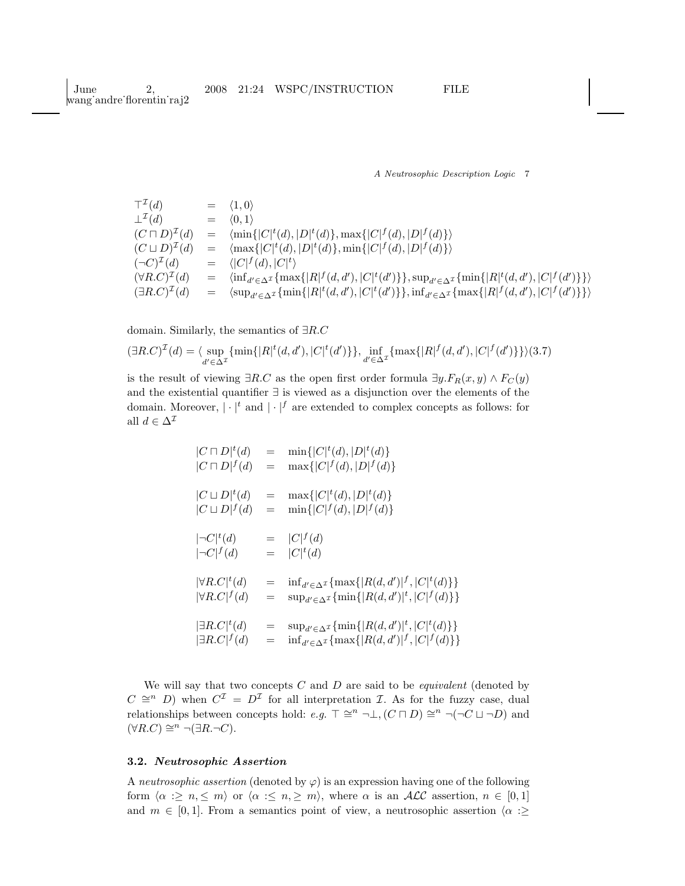| $\top^{\mathcal{I}}(d)$          | $=$     | $\langle 1,0 \rangle$                                                                                                                                                  |
|----------------------------------|---------|------------------------------------------------------------------------------------------------------------------------------------------------------------------------|
| $\perp^{\mathcal{I}}(d)$         | $=$ $-$ | $\langle 0,1 \rangle$                                                                                                                                                  |
| $(C\sqcap D)^{\mathcal{I}}(d)$   | $=$     | $\langle \min\{ C ^t(d),  D ^t(d)\}, \max\{ C ^f(d),  D ^f(d)\}\rangle$                                                                                                |
| $(C \sqcup D)^{\mathcal{I}}(d)$  | $=$     | $\langle \max\{ C ^t(d),  D ^t(d)\}, \min\{ C ^f(d),  D ^f(d)\}\rangle$                                                                                                |
| $(\neg C)^{\mathcal{I}}(d)$      |         | $= \langle  C ^{f}(d),  C ^{t} \rangle$                                                                                                                                |
| $(\forall R.C)^{\mathcal{I}}(d)$ | $=$     | $\langle \inf_{d' \in \Delta^{\mathcal{I}}} \{ \max\{ R ^{f}(d,d'), C ^{t}(d')\}\}, \sup_{d' \in \Delta^{\mathcal{I}}} \{ \min\{ R ^{t}(d,d'), C ^{f}(d')\}\} \rangle$ |
| $(\exists R.C)^{\mathcal{I}}(d)$ | $=$     | $\langle \sup_{d' \in \Delta^{\mathcal{I}}} {\min\{ R ^t(d, d'),  C ^t(d')\}}, \inf_{d' \in \Delta^{\mathcal{I}}} {\max\{ R ^f(d, d'),  C ^f(d')\}} \rangle$           |

domain. Similarly, the semantics of ∃R.C

$$
(\exists R.C)^{\mathcal{I}}(d) = \langle \sup_{d' \in \Delta^{\mathcal{I}}} \{ \min \{ |R|^t(d, d'), |C|^t(d') \} \}, \inf_{d' \in \Delta^{\mathcal{I}}} \{ \max \{ |R|^f(d, d'), |C|^f(d') \} \} \rangle (3.7)
$$

is the result of viewing  $\exists R.C$  as the open first order formula  $\exists y.F_R(x,y) \land F_C(y)$ and the existential quantifier ∃ is viewed as a disjunction over the elements of the domain. Moreover,  $|\cdot|^t$  and  $|\cdot|^f$  are extended to complex concepts as follows: for all  $d \in \Delta^{\mathcal{I}}$ 

| $ C \sqcap D ^t(d)$                  | $=$                                 | $\min\{ C ^t(d),  D ^t(d)\}\$                                               |
|--------------------------------------|-------------------------------------|-----------------------------------------------------------------------------|
| $ C \sqcap D ^{f}(d)$                | $=$                                 | $\max\{ C ^{f}(d), D ^{f}(d)\}\$                                            |
| $ C \sqcup D ^t(d)$                  | $\!\!\!=\!\!\!$                     | $\max\{ C ^t(d), D ^t(d)\}\$                                                |
| $ C \sqcup D ^{f}(d)$                | $=$                                 | $\min\{ C ^{f}(d), D ^{f}(d)\}\$                                            |
| $ \neg C ^t(d)$<br>$ \neg C ^{f}(d)$ |                                     | $=  C ^{f}(d)$<br>$=  C ^t(d)$                                              |
| $ \forall R.C ^t(d)$                 | $=$                                 | $\inf_{d' \in \Delta^{\mathcal{I}}} \{ \max\{  R(d, d') ^f,  C ^t(d) \} \}$ |
| $ \forall R.C ^{f}(d)$               | $\hspace*{0.4em} = \hspace*{0.4em}$ | $\sup_{d' \in \Delta^{\mathcal{I}}} \{\min\{ R(d, d') ^t,  C ^f(d)\}\}\$    |
| $ \exists R.C ^t(d)$                 | $=$                                 | $\sup_{d' \in \Delta^{\mathcal{I}}} \{\min\{ R(d, d') ^t,  C ^t(d)\}\}\$    |
| $ \exists R.C ^f(d)$                 | $=$                                 | $\inf_{d' \in \Delta^{\mathcal{I}}} \{ \max\{  R(d, d') ^f,  C ^f(d) \} \}$ |

We will say that two concepts  $C$  and  $D$  are said to be *equivalent* (denoted by  $C \cong^n D$ ) when  $C^{\mathcal{I}} = D^{\mathcal{I}}$  for all interpretation  $\mathcal{I}$ . As for the fuzzy case, dual relationships between concepts hold:  $e.g. \top \cong^n \neg \bot, (C \sqcap D) \cong^n \neg (\neg C \sqcup \neg D)$  and  $(\forall R.C) \cong^n \neg (\exists R.\neg C).$ 

### 3.2. Neutrosophic Assertion

A neutrosophic assertion (denoted by  $\varphi$ ) is an expression having one of the following form  $\langle \alpha : \geq n, \leq m \rangle$  or  $\langle \alpha : \leq n, \geq m \rangle$ , where  $\alpha$  is an ALC assertion,  $n \in [0, 1]$ and  $m \in [0,1]$ . From a semantics point of view, a neutrosophic assertion  $\langle \alpha : \geq$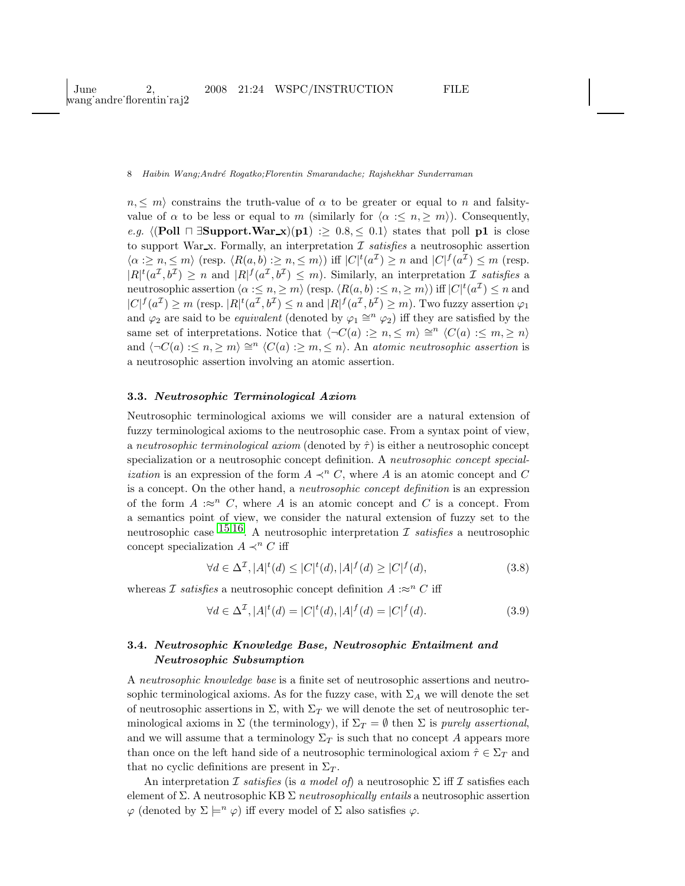$n, \leq m$  constrains the truth-value of  $\alpha$  to be greater or equal to n and falsityvalue of  $\alpha$  to be less or equal to m (similarly for  $\langle \alpha : \leq n, \geq m \rangle$ ). Consequently, e.g.  $\langle$ (Poll  $\sqcap \exists$ Support.War x)(p1) :≥ 0.8, ≤ 0.1) states that poll p1 is close to support War  $\mathbf x$ . Formally, an interpretation  $\mathcal I$  satisfies a neutrosophic assertion  $\langle \alpha : \geq n, \leq m \rangle$  (resp.  $\langle R(a, b) : \geq n, \leq m \rangle$ ) iff  $|C|^t(a^{\mathcal{I}}) \geq n$  and  $|C|^f(a^{\mathcal{I}}) \leq m$  (resp.  $|R|^t(a^{\mathcal{I}},b^{\mathcal{I}}) \geq n$  and  $|R|^f(a^{\mathcal{I}},b^{\mathcal{I}}) \leq m$ ). Similarly, an interpretation  $\mathcal{I}$  satisfies a neutrosophic assertion  $\langle \alpha : \leq n, \geq m \rangle$  (resp.  $\langle R(a, b) : \leq n, \geq m \rangle$ ) iff  $|C|^t(a^{\mathcal{I}}) \leq n$  and  $|C|^f(a^{\mathcal{I}}) \geq m$  (resp.  $|R|^t(a^{\mathcal{I}}, b^{\mathcal{I}}) \leq n$  and  $|R|^f(a^{\mathcal{I}}, b^{\mathcal{I}}) \geq m$ ). Two fuzzy assertion  $\varphi_1$ and  $\varphi_2$  are said to be *equivalent* (denoted by  $\varphi_1 \cong^n \varphi_2$ ) iff they are satisfied by the same set of interpretations. Notice that  $\langle \neg C(a) : \geq n, \leq m \rangle \cong^n \langle C(a) : \leq m, \geq n \rangle$ and  $\langle \neg C(a) : \leq n, \geq m \rangle \cong^{n} \langle C(a) : \geq m, \leq n \rangle$ . An atomic neutrosophic assertion is a neutrosophic assertion involving an atomic assertion.

#### 3.3. Neutrosophic Terminological Axiom

Neutrosophic terminological axioms we will consider are a natural extension of fuzzy terminological axioms to the neutrosophic case. From a syntax point of view, a neutrosophic terminological axiom (denoted by  $\hat{\tau}$ ) is either a neutrosophic concept specialization or a neutrosophic concept definition. A neutrosophic concept special*ization* is an expression of the form  $A \prec^n C$ , where A is an atomic concept and C is a concept. On the other hand, a neutrosophic concept definition is an expression of the form  $A : \approx^n C$ , where A is an atomic concept and C is a concept. From a semantics point of view, we consider the natural extension of fuzzy set to the neutrosophic case  $^{15,16}$  $^{15,16}$  $^{15,16}$ . A neutrosophic interpretation  $\mathcal I$  satisfies a neutrosophic concept specialization  $A \prec^n C$  iff

$$
\forall d \in \Delta^{\mathcal{I}}, |A|^t(d) \le |C|^t(d), |A|^f(d) \ge |C|^f(d), \tag{3.8}
$$

whereas *I* satisfies a neutrosophic concept definition  $A : \approx^n C$  iff

$$
\forall d \in \Delta^{\mathcal{I}}, |A|^t(d) = |C|^t(d), |A|^f(d) = |C|^f(d). \tag{3.9}
$$

# 3.4. Neutrosophic Knowledge Base, Neutrosophic Entailment and Neutrosophic Subsumption

A neutrosophic knowledge base is a finite set of neutrosophic assertions and neutrosophic terminological axioms. As for the fuzzy case, with  $\Sigma_A$  we will denote the set of neutrosophic assertions in  $\Sigma$ , with  $\Sigma_T$  we will denote the set of neutrosophic terminological axioms in  $\Sigma$  (the terminology), if  $\Sigma_T = \emptyset$  then  $\Sigma$  is purely assertional, and we will assume that a terminology  $\Sigma_T$  is such that no concept A appears more than once on the left hand side of a neutrosophic terminological axiom  $\hat{\tau} \in \Sigma_T$  and that no cyclic definitions are present in  $\Sigma_T$ .

An interpretation I satisfies (is a model of) a neutrosophic  $\Sigma$  iff I satisfies each element of  $\Sigma$ . A neutrosophic KB  $\Sigma$  neutrosophically entails a neutrosophic assertion  $\varphi$  (denoted by  $\Sigma \models^n \varphi$ ) iff every model of  $\Sigma$  also satisfies  $\varphi$ .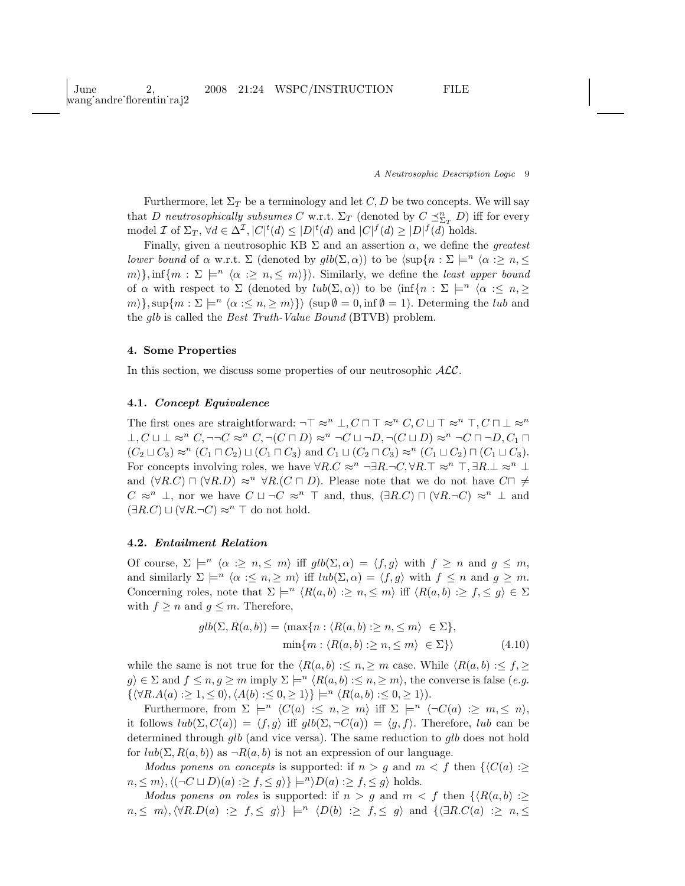Furthermore, let  $\Sigma_T$  be a terminology and let C, D be two concepts. We will say that D neutrosophically subsumes C w.r.t.  $\Sigma_T$  (denoted by  $C \preceq^n_{\Sigma_T} D$ ) iff for every model *I* of  $\Sigma_T$ ,  $\forall d \in \Delta^{\mathcal{I}}$ ,  $|C|^t(d) \leq |D|^t(d)$  and  $|C|^f(d) \geq |D|^f(d)$  holds.

Finally, given a neutrosophic KB  $\Sigma$  and an assertion  $\alpha$ , we define the *greatest lower bound* of  $\alpha$  w.r.t.  $\Sigma$  (denoted by  $\text{qlb}(\Sigma, \alpha)$ ) to be  $\langle \text{sup}\{n : \Sigma \models^n \langle \alpha : \Sigma n, \leq \Sigma n\} \rangle$  $m\},\inf\{m : \Sigma \models^n \langle \alpha : \geq n, \leq m \rangle\}\)$ . Similarly, we define the least upper bound of  $\alpha$  with respect to  $\Sigma$  (denoted by  $lub(\Sigma, \alpha)$ ) to be  $\langle \inf\{n : \Sigma \models^n \langle \alpha : \leq n, \geq \} \rangle$  $m\}$ , sup $\{m : \Sigma \models^n \langle \alpha : \leq n, \geq m \rangle\}$  (sup  $\emptyset = 0$ , inf  $\emptyset = 1$ ). Determing the *lub* and the glb is called the Best Truth-Value Bound (BTVB) problem.

# 4. Some Properties

In this section, we discuss some properties of our neutrosophic  $ALC$ .

### 4.1. Concept Equivalence

The first ones are straightforward:  $\neg \top \approx^n \bot, C \sqcap \top \approx^n C, C \sqcup \top \approx^n \top, C \sqcap \bot \approx^n$  $\bot, C \sqcup \bot \approx^n C, \neg\neg C \approx^n C, \neg(C \sqcap D) \approx^n \neg C \sqcup \neg D, \neg(C \sqcup D) \approx^n \neg C \sqcap \neg D, C_1 \sqcap$  $(C_2 \sqcup C_3) \approx^n (C_1 \sqcap C_2) \sqcup (C_1 \sqcap C_3)$  and  $C_1 \sqcup (C_2 \sqcap C_3) \approx^n (C_1 \sqcup C_2) \sqcap (C_1 \sqcup C_3)$ . For concepts involving roles, we have  $\forall R.C \approx^n \neg \exists R.\neg C, \forall R.\top \approx^n \top, \exists R.\bot \approx^n \bot$ and  $(\forall R.C) \sqcap (\forall R.D) \approx^n \forall R.(C \sqcap D)$ . Please note that we do not have  $C \sqcap \neq$  $C \approx^n \bot$ , nor we have  $C \sqcup \neg C \approx^n \top$  and, thus,  $(\exists R.C) \sqcap (\forall R.\neg C) \approx^n \bot$  and  $(\exists R.C) \sqcup (\forall R.\neg C) \approx^n \top$  do not hold.

# 4.2. Entailment Relation

Of course,  $\Sigma \models^n \langle \alpha : \geq n, \leq m \rangle$  iff  $glb(\Sigma, \alpha) = \langle f, g \rangle$  with  $f \geq n$  and  $g \leq m$ , and similarly  $\Sigma \models^n \langle \alpha : \leq n, \geq m \rangle$  iff  $lub(\Sigma, \alpha) = \langle f, g \rangle$  with  $f \leq n$  and  $g \geq m$ . Concerning roles, note that  $\Sigma \models^n \langle R(a, b) : \geq n, \leq m \rangle$  iff  $\langle R(a, b) : \geq f, \leq g \rangle \in \Sigma$ with  $f \geq n$  and  $g \leq m$ . Therefore,

$$
glb(\Sigma, R(a, b)) = \langle \max\{n : \langle R(a, b) : \ge n, \le m \rangle \in \Sigma\},\
$$

$$
\min\{m : \langle R(a, b) : \ge n, \le m \rangle \in \Sigma\} \rangle
$$
(4.10)

while the same is not true for the  $\langle R(a, b) : \leq n, \geq m$  case. While  $\langle R(a, b) : \leq f, \geq n \rangle$  $g \in \Sigma$  and  $f \le n, g \ge m$  imply  $\Sigma \models^n \langle R(a, b) : \le n, \ge m \rangle$ , the converse is false (e.g.  $\{\langle \forall R.A(a) :\geq 1, \leq 0 \rangle, \langle A(b) :\leq 0, \geq 1 \rangle\} \models^n \langle R(a, b) :\leq 0, \geq 1 \rangle).$ 

Furthermore, from  $\Sigma \models^n \langle C(a) : \leq n, \geq m \rangle$  iff  $\Sigma \models^n \langle \neg C(a) : \geq m, \leq n \rangle$ , it follows  $lub(\Sigma, C(a)) = \langle f, g \rangle$  iff  $glb(\Sigma, \neg C(a)) = \langle g, f \rangle$ . Therefore, lub can be determined through glb (and vice versa). The same reduction to glb does not hold for  $lub(\Sigma, R(a, b))$  as  $\neg R(a, b)$  is not an expression of our language.

Modus ponens on concepts is supported: if  $n > g$  and  $m < f$  then  $\{C(a) : \geq g\}$  $n, \leq m \rangle, \langle (\neg C \sqcup D)(a) : \geq f, \leq g \rangle \models^{n} D(a) : \geq f, \leq g \rangle$  holds.

Modus ponens on roles is supported: if  $n > g$  and  $m < f$  then  $\{R(a, b) : \geq g\}$  $n, \leq m$ ,  $\forall R.D(a) \geq f, \leq g$ }  $\models^n \langle D(b) \geq f, \leq g \rangle$  and  $\{\forall R.C(a) \geq n, \leq g\}$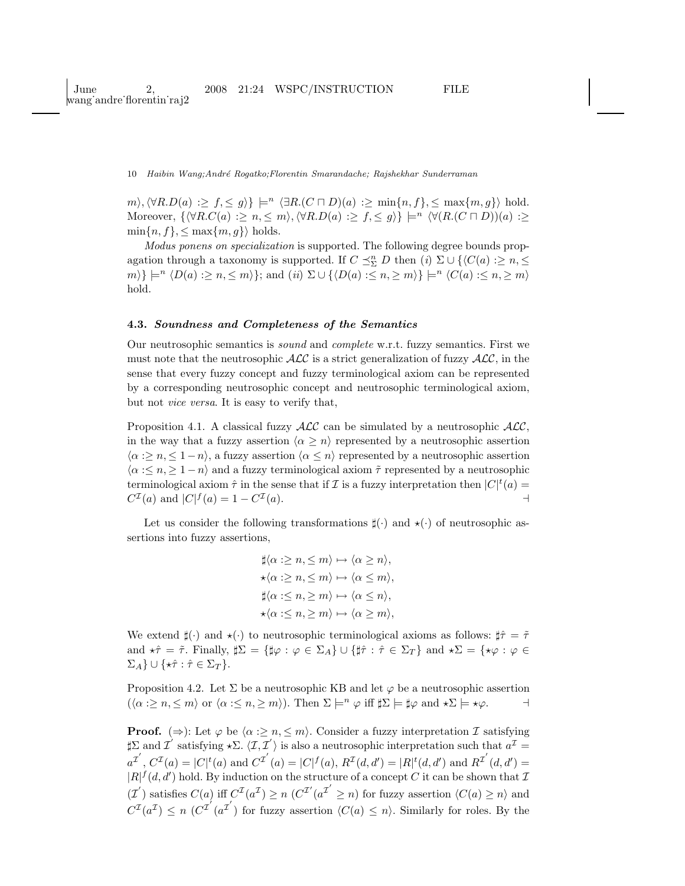$m\setminus\langle \forall R.D(a) :\geq f, \leq g \rangle$   $\models^{n} \langle \exists R.(C \sqcap D)(a) :\geq \min\{n, f\}, \leq \max\{m, g\} \rangle$  hold. Moreover,  $\{\forall R.C(a) : \geq n, \leq m\}, \forall R.D(a) : \geq f, \leq g\} \models^n \langle \forall (R.C \sqcap D))(a) : \geq$  $\min\{n, f\}, \leq \max\{m, g\}$  holds.

Modus ponens on specialization is supported. The following degree bounds propagation through a taxonomy is supported. If  $C \preceq_{\Sigma}^{n} D$  then  $(i) \Sigma \cup \{ \langle C(a) : \geq n, \leq \}$  $m\} \models^n \langle D(a) : \geq n, \leq m \rangle$ ; and (ii)  $\Sigma \cup \{ \langle D(a) : \leq n, \geq m \rangle \} \models^n \langle C(a) : \leq n, \geq m \rangle$ hold.

# 4.3. Soundness and Completeness of the Semantics

Our neutrosophic semantics is sound and complete w.r.t. fuzzy semantics. First we must note that the neutrosophic  $\mathcal{ALC}$  is a strict generalization of fuzzy  $\mathcal{ALC}$ , in the sense that every fuzzy concept and fuzzy terminological axiom can be represented by a corresponding neutrosophic concept and neutrosophic terminological axiom, but not vice versa. It is easy to verify that,

Proposition 4.1. A classical fuzzy  $\text{ALC}$  can be simulated by a neutrosophic  $\text{ALC}$ , in the way that a fuzzy assertion  $\langle \alpha \geq n \rangle$  represented by a neutrosophic assertion  $\langle \alpha : \geq n, \leq 1-n \rangle$ , a fuzzy assertion  $\langle \alpha \leq n \rangle$  represented by a neutrosophic assertion  $\langle \alpha : \leq n, \geq 1-n \rangle$  and a fuzzy terminological axiom  $\tilde{\tau}$  represented by a neutrosophic terminological axiom  $\hat{\tau}$  in the sense that if  $\mathcal I$  is a fuzzy interpretation then  $|C|^t(a) =$  $C^{\mathcal{I}}(a)$  and  $|C|^{f}(a) = 1 - C^{\mathcal{I}}$  $(a)$ .

Let us consider the following transformations  $\sharp(\cdot)$  and  $\star(\cdot)$  of neutrosophic assertions into fuzzy assertions,

$$
\sharp \langle \alpha : \geq n, \leq m \rangle \mapsto \langle \alpha \geq n \rangle, \star \langle \alpha : \geq n, \leq m \rangle \mapsto \langle \alpha \leq m \rangle, \sharp \langle \alpha : \leq n, \geq m \rangle \mapsto \langle \alpha \leq n \rangle, \star \langle \alpha : \leq n, \geq m \rangle \mapsto \langle \alpha \geq m \rangle,
$$

We extend  $\sharp(\cdot)$  and  $\star(\cdot)$  to neutrosophic terminological axioms as follows:  $\sharp \hat{\tau} = \tilde{\tau}$ and  $\star \hat{\tau} = \tilde{\tau}$ . Finally,  $\sharp \Sigma = {\sharp \varphi : \varphi \in \Sigma_A} \cup {\sharp \hat{\tau} : \hat{\tau} \in \Sigma_T}$  and  $\star \Sigma = {\star \varphi : \varphi \in \Sigma_A}$  $\Sigma_A$ }  $\cup$  { $\star \hat{\tau} : \hat{\tau} \in \Sigma_T$  }.

Proposition 4.2. Let  $\Sigma$  be a neutrosophic KB and let  $\varphi$  be a neutrosophic assertion  $(\langle \alpha : \geq n, \leq m \rangle \text{ or } \langle \alpha : \leq n, \geq m \rangle). \text{ Then } \Sigma \models^n \varphi \text{ iff } \sharp \Sigma \models \sharp \varphi \text{ and } \star \Sigma \models \star \varphi.$ 

**Proof.** ( $\Rightarrow$ ): Let  $\varphi$  be  $\langle \alpha : \geq n, \leq m \rangle$ . Consider a fuzzy interpretation I satisfying  $\sharp \Sigma$  and  $\overrightarrow{\mathcal{I}}'$  satisfying  $\star \Sigma \cdot \langle \overrightarrow{\mathcal{I}}, \overrightarrow{\mathcal{I}}' \rangle$  is also a neutrosophic interpretation such that  $a^{\mathcal{I}} =$  $a^{\mathcal{I}'}, C^{\mathcal{I}}(a) = |C|^t(a)$  and  $C^{\mathcal{I}'}(a) = |C|^f(a), R^{\mathcal{I}}(d, d') = |R|^t(d, d')$  and  $R^{\mathcal{I}'}(d, d') =$  $|R|^{f}(d, d')$  hold. By induction on the structure of a concept C it can be shown that Z  $(\mathcal{I}')$  satisfies  $C(a)$  iff  $C^{\mathcal{I}}(a^{\mathcal{I}}) \geq n$  ( $C^{\mathcal{I}'}(a^{\mathcal{I}'} \geq n)$ ) for fuzzy assertion  $\langle C(a) \geq n \rangle$  and  $C^{I}(a^{I}) \leq n \ (C^{I'}(a^{I'})$  for fuzzy assertion  $\langle C(a) \leq n \rangle$ . Similarly for roles. By the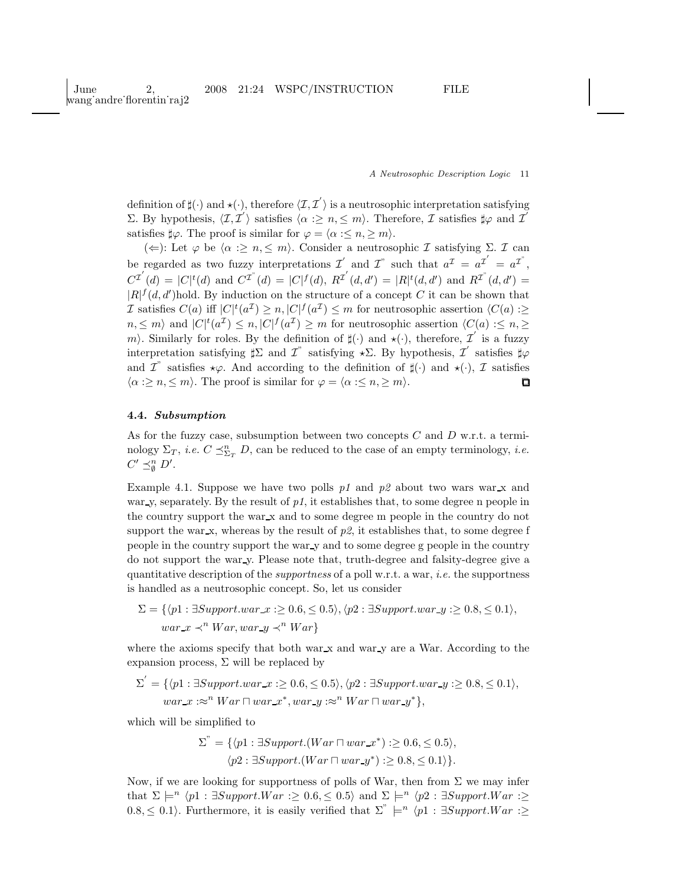definition of  $\sharp(\cdot)$  and  $\star(\cdot)$ , therefore  $\langle \mathcal{I}, \mathcal{I}' \rangle$  is a neutrosophic interpretation satisfying Σ. By hypothesis,  $\langle \mathcal{I}, \mathcal{I}' \rangle$  satisfies  $\langle \alpha : \geq n, \leq m \rangle$ . Therefore,  $\mathcal{I}$  satisfies ‡φ and  $\mathcal{I}'$ satisfies  $\sharp \varphi$ . The proof is similar for  $\varphi = \langle \alpha : \leq n, \geq m \rangle$ .

( $\Leftarrow$ ): Let  $\varphi$  be  $\langle \alpha : \geq n, \leq m \rangle$ . Consider a neutrosophic *I* satisfying *Σ*. *I* can be regarded as two fuzzy interpretations  $\mathcal{I}'$  and  $\mathcal{I}''$  such that  $a^{\mathcal{I}} = a^{\mathcal{I}'} = a^{\mathcal{I}''}$ ,  $C^{I}(d) = |C|^t(d)$  and  $C^{I}(d) = |C|^f(d), R^{I}(d,d') = |R|^t(d,d')$  and  $R^{I}(d,d') =$  $|R|^{f} (d, d')$ hold. By induction on the structure of a concept C it can be shown that *I* satisfies  $C(a)$  iff  $|C|^t(a^{\mathcal{I}}) \geq n, |C|^f(a^{\mathcal{I}}) \leq m$  for neutrosophic assertion  $\langle C(a) : \geq$  $n, \leq m$  and  $|C|^t(a^{\mathcal{I}}) \leq n, |C|^f(a^{\mathcal{I}}) \geq m$  for neutrosophic assertion  $\langle C(a) : \leq n, \geq n \rangle$ m). Similarly for roles. By the definition of  $\sharp(\cdot)$  and  $\star(\cdot)$ , therefore,  $\mathcal{I}'$  is a fuzzy interpretation satisfying  $\sharp \Sigma$  and  $\mathcal{I}$  satisfying  $\star \Sigma$ . By hypothesis,  $\mathcal{I}'$  satisfies  $\sharp \varphi$ and  $\mathcal{I}^*$  satisfies  $\star\varphi$ . And according to the definition of  $\sharp(\cdot)$  and  $\star(\cdot)$ ,  $\mathcal{I}$  satisfies  $\langle \alpha : \geq n, \leq m \rangle$ . The proof is similar for  $\varphi = \langle \alpha : \leq n, \geq m \rangle$ .

### 4.4. Subsumption

As for the fuzzy case, subsumption between two concepts  $C$  and  $D$  w.r.t. a terminology  $\Sigma_T$ , *i.e.*  $C \preceq_{\Sigma_T}^n D$ , can be reduced to the case of an empty terminology, *i.e.*  $C' \preceq_{\emptyset}^n D'.$ 

Example 4.1. Suppose we have two polls p1 and p2 about two wars war x and war v, separately. By the result of  $p_1$ , it establishes that, to some degree n people in the country support the war  $x$  and to some degree m people in the country do not support the war  $x$ , whereas by the result of  $p\mathcal{Z}$ , it establishes that, to some degree f people in the country support the war y and to some degree g people in the country do not support the war y. Please note that, truth-degree and falsity-degree give a quantitative description of the *supportness* of a poll w.r.t. a war, *i.e.* the supportness is handled as a neutrosophic concept. So, let us consider

$$
\Sigma = \{ \langle p1 : \exists Support. war_x : \ge 0.6, \le 0.5 \rangle, \langle p2 : \exists Support. war_y : \ge 0.8, \le 0.1 \rangle, \newline war_x \prec^n War, war_y \prec^n War \}
$$

where the axioms specify that both war x and war y are a War. According to the expansion process,  $\Sigma$  will be replaced by

$$
\Sigma' = \{ \langle p1 : \exists Support. war\_x : \ge 0.6, \le 0.5 \rangle, \langle p2 : \exists Support. war\_y : \ge 0.8, \le 0.1 \rangle, \\ war\_x : \approx^n War \sqcap war\_x^*, war\_y : \approx^n War \sqcap war\_y^* \},
$$

which will be simplified to

$$
\Sigma^" = \{ \langle p1 : \exists Support.(War \sqcap war\_x^*) : \ge 0.6, \le 0.5 \rangle, \\ \langle p2 : \exists Support.(War \sqcap war\_y^*) : \ge 0.8, \le 0.1 \rangle \}.
$$

Now, if we are looking for supportness of polls of War, then from  $\Sigma$  we may infer that  $\Sigma \models^n \langle p1 : \exists Support.War : \geq 0.6, \leq 0.5 \rangle$  and  $\Sigma \models^n \langle p2 : \exists Support.War : \geq 0.6 \rangle$ 0.8,  $\leq$  0.1). Furthermore, it is easily verified that  $\Sigma^{\prime\prime} \models^n \langle p1 : \exists Support.War : \geq$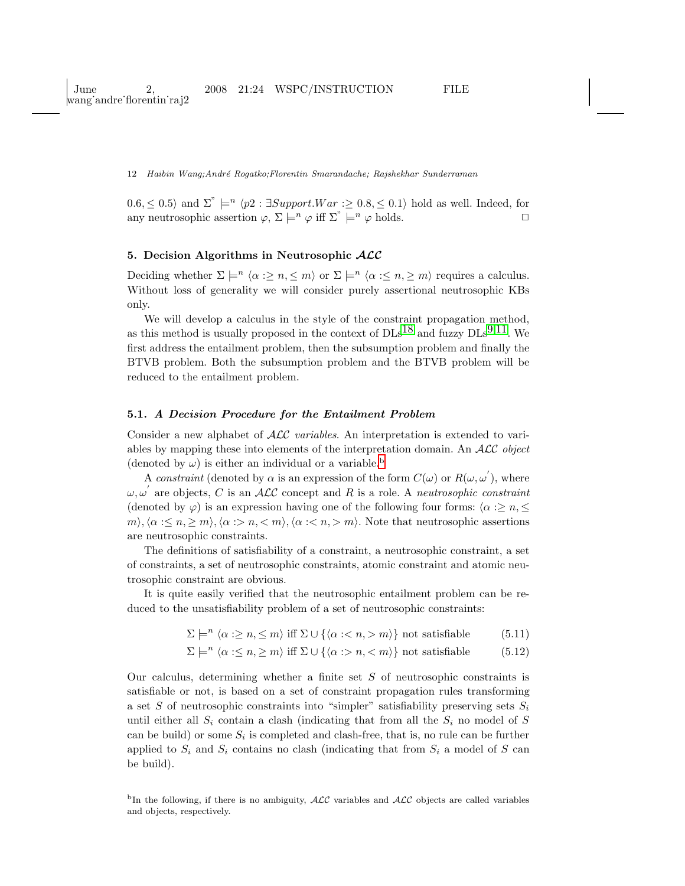$0.6 \leq 0.5$  and  $\Sigma^{\prime\prime} \models^n \langle p2 : \exists Support.War : \geq 0.8 \leq 0.1 \rangle$  hold as well. Indeed, for any neutrosophic assertion  $\varphi, \Sigma \models^n \varphi$  iff  $\Sigma^" \models^n \varphi$  holds.

# 5. Decision Algorithms in Neutrosophic  $ALC$

Deciding whether  $\Sigma \models^n \langle \alpha : \geq n, \leq m \rangle$  or  $\Sigma \models^n \langle \alpha : \leq n, \geq m \rangle$  requires a calculus. Without loss of generality we will consider purely assertional neutrosophic KBs only.

We will develop a calculus in the style of the constraint propagation method, as this method is usually proposed in the context of  $\text{DLs}^{18}$  $\text{DLs}^{18}$  $\text{DLs}^{18}$  and fuzzy  $\text{DLs}^{9,11}$  $\text{DLs}^{9,11}$  $\text{DLs}^{9,11}$ . We first address the entailment problem, then the subsumption problem and finally the BTVB problem. Both the subsumption problem and the BTVB problem will be reduced to the entailment problem.

# 5.1. A Decision Procedure for the Entailment Problem

Consider a new alphabet of ALC variables. An interpretation is extended to variables by mapping these into elements of the interpretation domain. An  $\mathcal{ALC}$  object (denoted [b](#page-11-0)y  $\omega$ ) is either an individual or a variable.<sup>b</sup>

A constraint (denoted by  $\alpha$  is an expression of the form  $C(\omega)$  or  $R(\omega, \omega')$ , where  $\omega, \omega'$  are objects, C is an ALC concept and R is a role. A neutrosophic constraint (denoted by  $\varphi$ ) is an expression having one of the following four forms:  $\langle \alpha : \geq n, \leq \rangle$  $m\setminus\langle\alpha:\leq n,\geq m\rangle,\langle\alpha:\geq n,\leq m\rangle,\langle\alpha:\leq n,\geq m\rangle.$  Note that neutrosophic assertions are neutrosophic constraints.

The definitions of satisfiability of a constraint, a neutrosophic constraint, a set of constraints, a set of neutrosophic constraints, atomic constraint and atomic neutrosophic constraint are obvious.

It is quite easily verified that the neutrosophic entailment problem can be reduced to the unsatisfiability problem of a set of neutrosophic constraints:

 $\Sigma \models^n \langle \alpha : \geq n, \leq m \rangle$  iff  $\Sigma \cup \{ \langle \alpha : \leq n, \geq m \rangle \}$  not satisfiable (5.11)

$$
\Sigma \models^n \langle \alpha : \leq n, \geq m \rangle \text{ iff } \Sigma \cup \{ \langle \alpha : > n, < m \rangle \} \text{ not satisfiable} \tag{5.12}
$$

Our calculus, determining whether a finite set  $S$  of neutrosophic constraints is satisfiable or not, is based on a set of constraint propagation rules transforming a set S of neutrosophic constraints into "simpler" satisfiability preserving sets  $S_i$ until either all  $S_i$  contain a clash (indicating that from all the  $S_i$  no model of S can be build) or some  $S_i$  is completed and clash-free, that is, no rule can be further applied to  $S_i$  and  $S_i$  contains no clash (indicating that from  $S_i$  a model of S can be build).

<span id="page-11-0"></span><sup>b</sup>In the following, if there is no ambiguity,  $\angle$ ALC variables and  $\angle$ ALC objects are called variables and objects, respectively.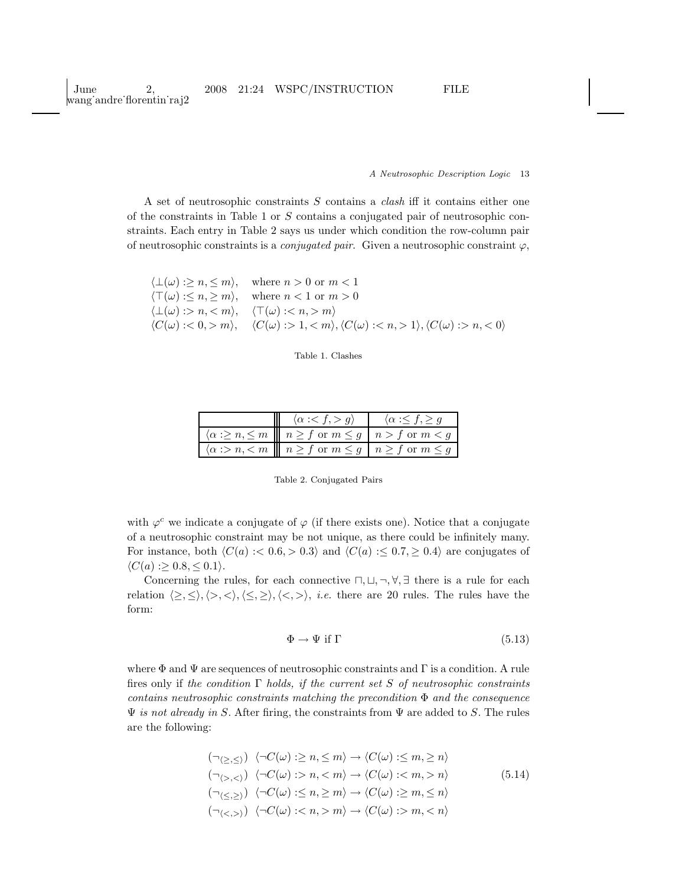A set of neutrosophic constraints S contains a clash iff it contains either one of the constraints in Table 1 or S contains a conjugated pair of neutrosophic constraints. Each entry in Table 2 says us under which condition the row-column pair of neutrosophic constraints is a *conjugated pair*. Given a neutrosophic constraint  $\varphi$ ,

|                                     | $\langle \perp(\omega) : \geq n, \leq m \rangle$ , where $n > 0$ or $m < 1$                           |
|-------------------------------------|-------------------------------------------------------------------------------------------------------|
|                                     | $\langle \top(\omega) : \leq n, \geq m \rangle$ , where $n < 1$ or $m > 0$                            |
| $\langle \perp(\omega):>n,m\rangle$ |                                                                                                       |
|                                     | $\langle C(\omega):<0,>m\rangle, \quad \langle C(\omega):>1,1\rangle, \langle C(\omega):>n,<0\rangle$ |



| $\langle \alpha : g \rangle$                                                                                     | $\langle \alpha : f \rangle q$ |
|------------------------------------------------------------------------------------------------------------------|--------------------------------|
| $\langle \alpha : \geq n, \leq m \mid \mid n \geq f \text{ or } m \leq g \mid n > f \text{ or } m < g$           |                                |
| $\langle \alpha : > n, < m \mid \parallel n \geq f \text{ or } m \leq g \mid n \geq f \text{ or } m \leq g \mid$ |                                |

Table 2. Conjugated Pairs

with  $\varphi^c$  we indicate a conjugate of  $\varphi$  (if there exists one). Notice that a conjugate of a neutrosophic constraint may be not unique, as there could be infinitely many. For instance, both  $\langle C(a) : 0.6, 0.3 \rangle$  and  $\langle C(a) : 0.7, 0.4 \rangle$  are conjugates of  $\langle C(a) : \geq 0.8, \leq 0.1 \rangle$ .

Concerning the rules, for each connective  $\Box$ ,  $\Box$ ,  $\neg$ ,  $\forall$ ,  $\exists$  there is a rule for each relation  $\langle \geq, \leq \rangle, \langle \geq, \langle \leq, \geq \rangle, \langle \leq, \geq \rangle, i.e.$  there are 20 rules. The rules have the form:

$$
\Phi \to \Psi \text{ if } \Gamma \tag{5.13}
$$

where  $\Phi$  and  $\Psi$  are sequences of neutrosophic constraints and  $\Gamma$  is a condition. A rule fires only if the condition  $\Gamma$  holds, if the current set S of neutrosophic constraints contains neutrosophic constraints matching the precondition  $\Phi$  and the consequence  $\Psi$  is not already in S. After firing, the constraints from  $\Psi$  are added to S. The rules are the following:

$$
(\neg \langle \geq, \leq \rangle) \langle \neg C(\omega) : \geq n, \leq m \rangle \to \langle C(\omega) : \leq m, \geq n \rangle
$$
  
\n
$$
(\neg \langle \geq, \leq \rangle) \langle \neg C(\omega) : \geq n, \leq m \rangle \to \langle C(\omega) : \leq m, \geq n \rangle
$$
  
\n
$$
(\neg \langle \leq, \geq \rangle) \langle \neg C(\omega) : \leq n, \geq m \rangle \to \langle C(\omega) : \geq m, \leq n \rangle
$$
  
\n
$$
(\neg \langle \leq, \geq \rangle) \langle \neg C(\omega) : \leq n, \geq m \rangle \to \langle C(\omega) : \geq m, \leq n \rangle
$$
  
\n(5.14)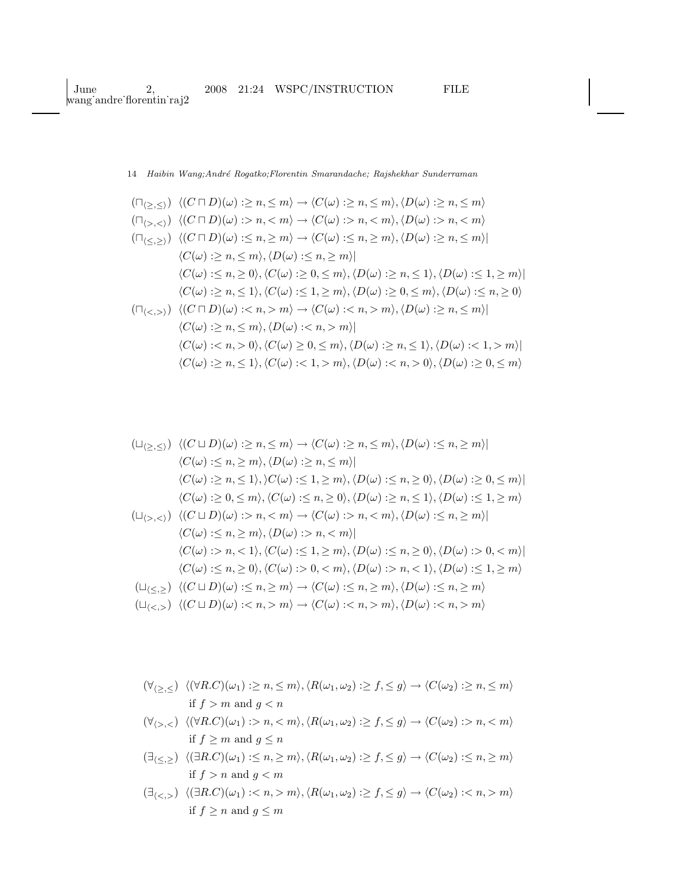$$
(\Box_{\langle \geq, \leq \rangle}) \langle (C \sqcap D)(\omega) : \geq n, \leq m \rangle \to \langle C(\omega) : \geq n, \leq m \rangle, \langle D(\omega) : \geq n, \leq m \rangle
$$
  
\n
$$
(\Box_{\langle \geq, \leq \rangle}) \langle (C \sqcap D)(\omega) : \geq n, \leq m \rangle \to \langle C(\omega) : \geq n, \leq m \rangle, \langle D(\omega) : \geq n, \leq m \rangle
$$
  
\n
$$
(\Box_{\langle \leq, \geq \rangle}) \langle (C \sqcap D)(\omega) : \leq n, \geq m \rangle \to \langle C(\omega) : \leq n, \geq m \rangle, \langle D(\omega) : \geq n, \leq m \rangle
$$
  
\n
$$
\langle C(\omega) : \geq n, \leq m \rangle, \langle D(\omega) : \leq n, \geq m \rangle
$$
  
\n
$$
\langle C(\omega) : \leq n, \geq 0 \rangle, \langle C(\omega) : \geq 0, \leq m \rangle, \langle D(\omega) : \geq n, \leq 1 \rangle, \langle D(\omega) : \leq n, \geq 0 \rangle
$$
  
\n
$$
(\Box_{\langle \leq, \geq \rangle}) \langle (C \sqcap D)(\omega) : \leq n, \geq m \rangle \to \langle C(\omega) : \leq n, \geq m \rangle, \langle D(\omega) : \geq n, \leq m \rangle
$$
  
\n
$$
\langle C(\omega) : \geq n, \leq m \rangle, \langle D(\omega) : \leq n, \geq m \rangle
$$
  
\n
$$
\langle C(\omega) : \leq n, \geq 0 \rangle, \langle C(\omega) \geq 0, \leq m \rangle, \langle D(\omega) : \geq n, \leq 1 \rangle, \langle D(\omega) : \leq 1, \geq m \rangle
$$
  
\n
$$
\langle C(\omega) : \geq n, \leq 1 \rangle, \langle C(\omega) : \leq 1, \geq m \rangle, \langle D(\omega) : \leq n, \geq 0 \rangle, \langle D(\omega) : \leq n, \geq 0 \rangle
$$

$$
(\Box_{\{\geq,\leq\}}) \langle (C \sqcup D)(\omega) : \geq n, \leq m \rangle \to \langle C(\omega) : \geq n, \leq m \rangle, \langle D(\omega) : \leq n, \geq m \rangle |
$$
  
\n
$$
\langle C(\omega) : \leq n, \geq m \rangle, \langle D(\omega) : \geq n, \leq m \rangle |
$$
  
\n
$$
\langle C(\omega) : \geq n, \leq 1 \rangle, \rangle C(\omega) : \leq 1, \geq m \rangle, \langle D(\omega) : \leq n, \geq 0 \rangle, \langle D(\omega) : \geq 0, \leq m \rangle |
$$
  
\n
$$
\langle C(\omega) : \geq 0, \leq m \rangle, \langle C(\omega) : \leq n, \geq 0 \rangle, \langle D(\omega) : \geq n, \leq 1 \rangle, \langle D(\omega) : \leq 1, \geq m \rangle |
$$
  
\n
$$
(\Box_{\langle \geq, \langle \rangle}) \langle (C \sqcup D)(\omega) : \geq n, \langle \leq m \rangle \to \langle C(\omega) : \geq n, \langle \leq m \rangle, \langle D(\omega) : \leq n, \geq m \rangle |
$$
  
\n
$$
\langle C(\omega) : \leq n, \geq m \rangle, \langle D(\omega) : \geq n, \langle \leq m \rangle |
$$
  
\n
$$
\langle C(\omega) : \geq n, \langle D(\omega) : \leq n, \geq m \rangle, \langle D(\omega) : \leq n, \geq 0 \rangle, \langle D(\omega) : \geq 0, \langle \leq m \rangle |
$$
  
\n
$$
\langle C(\omega) : \leq n, \geq 0 \rangle, \langle C(\omega) : \geq 0, \langle \leq m \rangle, \langle D(\omega) : \geq n, \langle D(\omega) : \leq n, \geq m \rangle |
$$
  
\n
$$
(\Box_{\langle \leq, \geq \rangle}) \langle (C \sqcup D)(\omega) : \leq n, \geq m \rangle \to \langle C(\omega) : \leq n, \geq m \rangle, \langle D(\omega) : \leq n, \geq m \rangle |
$$
  
\n
$$
(\Box_{\langle \leq, \geq \rangle}) \langle (C \sqcup D)(\omega) : \leq n, \ge
$$

 $(\forall_{\langle \geq , \leq \rangle} \ \ \langle (\forall R.C)(\omega_1) : \geq n, \leq m \rangle, \langle R(\omega_1, \omega_2) : \geq f, \leq g \rangle \rightarrow \langle C(\omega_2) : \geq n, \leq m \rangle$ if  $f > m$  and  $g < n$ 

$$
(\forall_{\langle >, < \rangle} \langle (\forall R.C)(\omega_1) : > n, < m \rangle, \langle R(\omega_1, \omega_2) : \ge f, \le g \rangle \to \langle C(\omega_2) : > n, < m \rangle
$$
  
if  $f \ge m$  and  $g \le n$ 

 $(\exists_{\langle \leq,\geq \rangle} \ \langle (\exists R.C)(\omega_1) : \leq n, \geq m \rangle, \langle R(\omega_1, \omega_2) : \geq f, \leq g \rangle \to \langle C(\omega_2) : \leq n, \geq m \rangle$ if  $f > n$  and  $g < m$ 

$$
(\exists_{\langle <, >}) \ \langle (\exists R.C)(\omega_1) : m \rangle, \langle R(\omega_1, \omega_2) : \geq f, \leq g \rangle \to \langle C(\omega_2) : m \rangle
$$
  
if  $f \geq n$  and  $g \leq m$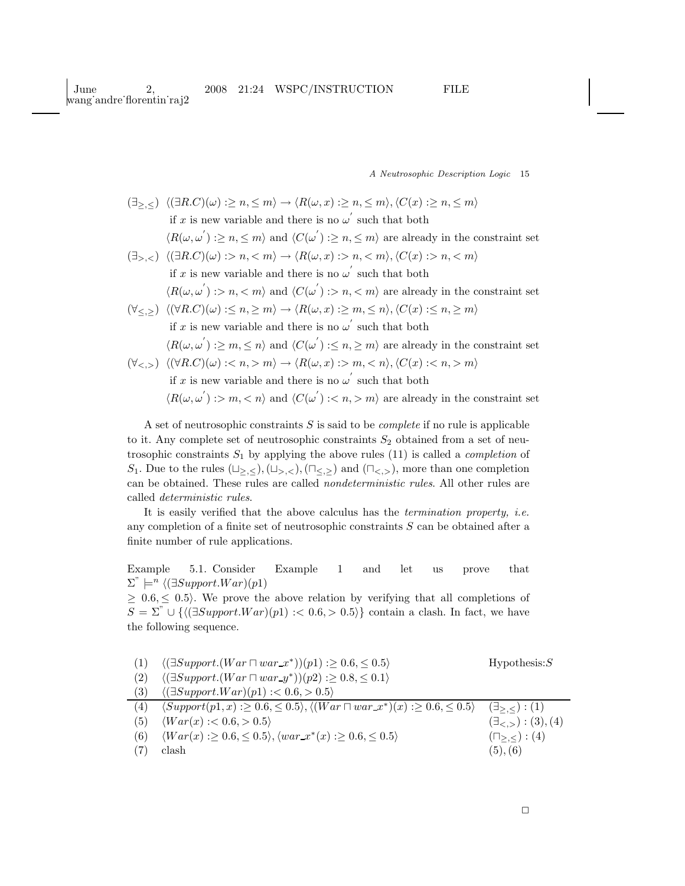$(\exists z, \langle \rangle \langle (\exists R.C)(\omega) : \geq n, \leq m \rangle \rightarrow \langle R(\omega, x) : \geq n, \leq m \rangle, \langle C(x) : \geq n, \leq m \rangle$ if x is new variable and there is no  $\omega^{'}$  such that both  $\langle R(\omega, \omega^{'}) : \geq n, \leq m \rangle$  and  $\langle C(\omega^{'}) : \geq n, \leq m \rangle$  are already in the constraint set  $(\exists_{>} \langle \exists R.C | \omega) : n < m \rangle \rightarrow \langle R(\omega, x) : n < m \rangle, \langle C(x) : n < m \rangle$ if x is new variable and there is no  $\omega^{'}$  such that both  $\langle R(\omega, \omega^{'})\right| > n, < m$  and  $\langle C(\omega^{'})\right| > n, < m$  are already in the constraint set  $(\forall \langle \rangle) \langle (\forall R.C)(\omega) : \langle n, \rangle \langle m \rangle \rightarrow \langle R(\omega, x) : \rangle \langle m, \langle n \rangle, \langle C(x) : \langle n, \rangle \langle m \rangle)$ if x is new variable and there is no  $\omega^{'}$  such that both  $\langle R(\omega, \omega^{'}) : \geq m, \leq n \rangle$  and  $\langle C(\omega^{'}) : \leq n, \geq m \rangle$  are already in the constraint set  $(\forall \langle \xi \rangle) \langle (\forall R.C)(\omega) : \langle n, \rangle \langle m \rangle \rightarrow \langle R(\omega, x) : \rangle \langle m, \langle n \rangle, \langle C(x) : \langle n, \rangle \langle m \rangle)$ if x is new variable and there is no  $\omega^{'}$  such that both

 $\langle R(\omega, \omega^{'})\rangle$  : > m, < n\} and  $\langle C(\omega^{'})\rangle$  : < n, > m\} are already in the constraint set

A set of neutrosophic constraints  $S$  is said to be *complete* if no rule is applicable to it. Any complete set of neutrosophic constraints  $S_2$  obtained from a set of neutrosophic constraints  $S_1$  by applying the above rules (11) is called a *completion* of S<sub>1</sub>. Due to the rules  $(\sqcup_{\geq,\leq}),(\sqcup_{\geq,\leq}),(\sqcap_{\leq,\geq})$  and  $(\sqcap_{\leq,\geq}),$  more than one completion can be obtained. These rules are called nondeterministic rules. All other rules are called deterministic rules.

It is easily verified that the above calculus has the termination property, i.e. any completion of a finite set of neutrosophic constraints S can be obtained after a finite number of rule applications.

Example 5.1. Consider Example 1 and let us prove that  $\Sigma^{\prime\prime} \models^n \langle (\exists Support.War)(p1)$ 

 $> 0.6, < 0.5$ . We prove the above relation by verifying that all completions of  $S = \Sigma^{\prime} \cup \{(\exists Support.War)(p1) : 0.6, > 0.5\}\}$  contain a clash. In fact, we have the following sequence.

|     | $\langle (\exists Support.(War \sqcap war_x^*)) (p1) : \geq 0.6, \leq 0.5 \rangle$                                  | Hypothesis: S                   |
|-----|---------------------------------------------------------------------------------------------------------------------|---------------------------------|
| (2) | $\langle (\exists Support.(War \sqcap war_{\mathcal{Y}}^*)(p2) : \geq 0.8, \leq 0.1 \rangle$                        |                                 |
| (3) | $\langle (\exists Support.War)(p1) : < 0.6, > 0.5 \rangle$                                                          |                                 |
| (4) | $\langle Support(p1, x) : \geq 0.6, \leq 0.5 \rangle, \langle (War \sqcap war_x^*)(x) : \geq 0.6, \leq 0.5 \rangle$ | $(\exists$ > $\lt$ ) : (1)      |
| (5) | $\langle War(x) : < 0.6, > 0.5 \rangle$                                                                             | $(\exists \lt, \gt) : (3), (4)$ |
| (6) | $\langle War(x) : \geq 0.6, \leq 0.5 \rangle, \langle war_x^*(x) : \geq 0.6, \leq 0.5 \rangle$                      | $(\sqcap_{>,<})$ : (4)          |
|     | clash                                                                                                               | (5), (6)                        |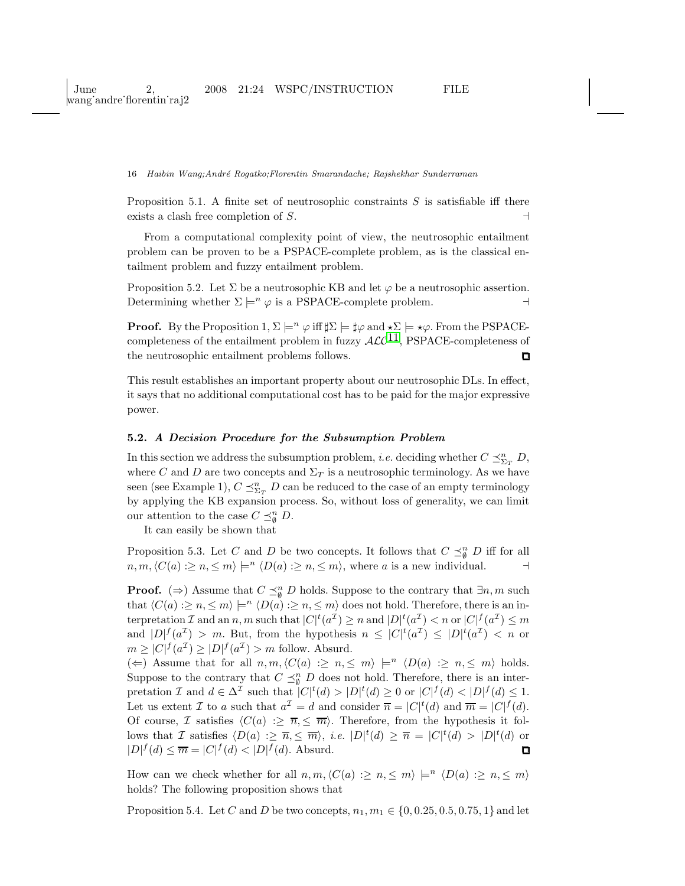Proposition 5.1. A finite set of neutrosophic constraints  $S$  is satisfiable iff there exists a clash free completion of S.  $\rightarrow$ 

From a computational complexity point of view, the neutrosophic entailment problem can be proven to be a PSPACE-complete problem, as is the classical entailment problem and fuzzy entailment problem.

Proposition 5.2. Let  $\Sigma$  be a neutrosophic KB and let  $\varphi$  be a neutrosophic assertion. Determining whether  $\Sigma \models^n \varphi$  is a PSPACE-complete problem.  $\vdash$ 

**Proof.** By the Proposition 1,  $\Sigma \models^n \varphi$  iff  $\sharp \Sigma \models \sharp \varphi$  and  $\star \Sigma \models \star \varphi$ . From the PSPACEcompleteness of the entailment problem in fuzzy  $\mathcal{ALC}^{11}$ , PSPACE-completeness of the neutrosophic entailment problems follows.  $\Box$ 

This result establishes an important property about our neutrosophic DLs. In effect, it says that no additional computational cost has to be paid for the major expressive power.

# 5.2. A Decision Procedure for the Subsumption Problem

In this section we address the subsumption problem, *i.e.* deciding whether  $C \preceq_{\Sigma_T}^n D$ , where C and D are two concepts and  $\Sigma_T$  is a neutrosophic terminology. As we have seen (see Example 1),  $C \preceq^n_{\Sigma_T} D$  can be reduced to the case of an empty terminology by applying the KB expansion process. So, without loss of generality, we can limit our attention to the case  $C \preceq_{\emptyset}^n D$ .

It can easily be shown that

Proposition 5.3. Let C and D be two concepts. It follows that  $C \preceq_{\emptyset}^n D$  iff for all  $n, m, \langle C(a) : \geq n, \leq m \rangle \models^n \langle D(a) : \geq n, \leq m \rangle$ , where a is a new individual.  $\lnot$ 

**Proof.** ( $\Rightarrow$ ) Assume that  $C \preceq_{\emptyset}^n D$  holds. Suppose to the contrary that  $\exists n, m$  such that  $\langle C(a) : \geq n, \leq m \rangle \models^n \langle D(a) : \geq n, \leq m \rangle$  does not hold. Therefore, there is an interpretation  $\mathcal I$  and an  $n, m$  such that  $|C|^t(a^{\mathcal I}) \geq n$  and  $|D|^t(a^{\mathcal I}) < n$  or  $|C|^f(a^{\mathcal I}) \leq m$ and  $|D|^f(a^{\mathcal{I}}) > m$ . But, from the hypothesis  $n \leq |C|^t(a^{\mathcal{I}}) \leq |D|^t(a^{\mathcal{I}}) < n$  or  $m \geq |C|^f(a^{\mathcal{I}}) \geq |D|^f(a^{\mathcal{I}}) > m$  follow. Absurd.

(←) Assume that for all  $n, m, \langle C(a) : \geq n, \leq m \rangle \models^n \langle D(a) : \geq n, \leq m \rangle$  holds. Suppose to the contrary that  $C \preceq_{\emptyset}^n D$  does not hold. Therefore, there is an interpretation I and  $d \in \Delta^{\mathcal{I}}$  such that  $|C|^t(d) > |D|^t(d) \geq 0$  or  $|C|^f(d) < |D|^f(d) \leq 1$ . Let us extent *I* to *a* such that  $a^{\mathcal{I}} = d$  and consider  $\overline{n} = |C|^t(d)$  and  $\overline{m} = |C|^f(d)$ . Of course, I satisfies  $\langle C(a) : \ge \overline{n}, \le \overline{m} \rangle$ . Therefore, from the hypothesis it follows that I satisfies  $\langle D(a) : \ge \overline{n}, \le \overline{m} \rangle$ , *i.e.*  $|D|^t(d) \ge \overline{n} = |C|^t(d) > |D|^t(d)$  or  $|D|^f(d) \leq \overline{m} = |C|^f(d) < |D|^f(d)$ . Absurd.

How can we check whether for all  $n, m, \langle C(a) : \geq n, \leq m \rangle \models^n \langle D(a) : \geq n, \leq m \rangle$ holds? The following proposition shows that

Proposition 5.4. Let C and D be two concepts,  $n_1, m_1 \in \{0, 0.25, 0.5, 0.75, 1\}$  and let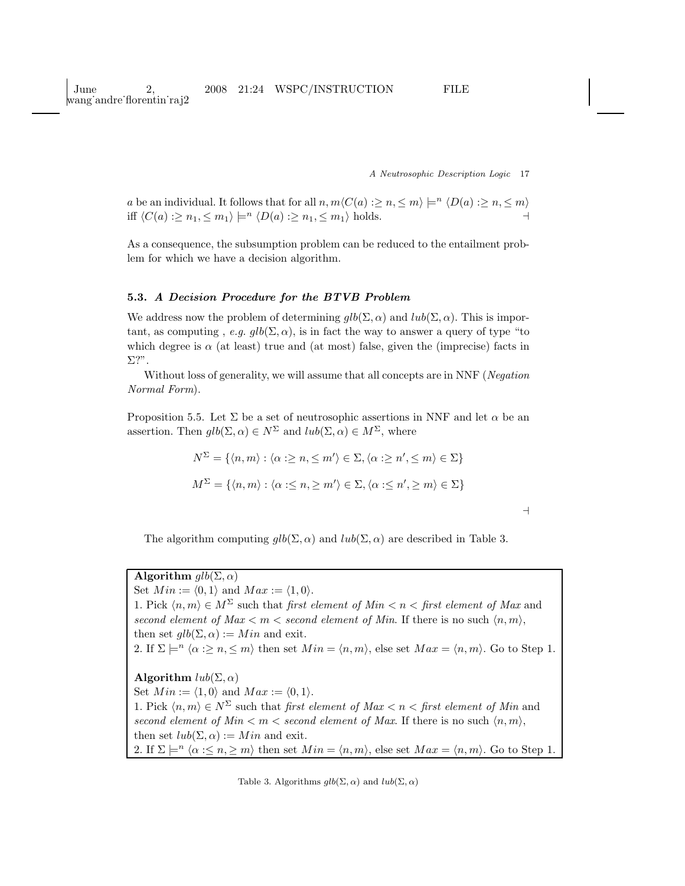June 2, 2008 21:24 WSPC/INSTRUCTION FILE wang˙andre˙florentin˙raj2

A Neutrosophic Description Logic 17

a be an individual. It follows that for all  $n, m\langle C(a) : \geq n, \leq m \rangle \models^{n} \langle D(a) : \geq n, \leq m \rangle$ iff  $\langle C(a) : \geq n_1, \leq m_1 \rangle \models^n \langle D(a) : \geq n_1, \leq m_1 \rangle$  holds.

As a consequence, the subsumption problem can be reduced to the entailment problem for which we have a decision algorithm.

### 5.3. A Decision Procedure for the BTVB Problem

We address now the problem of determining  $glb(\Sigma, \alpha)$  and  $lub(\Sigma, \alpha)$ . This is important, as computing, e.g.  $glb(\Sigma, \alpha)$ , is in fact the way to answer a query of type "to which degree is  $\alpha$  (at least) true and (at most) false, given the (imprecise) facts in Σ?".

Without loss of generality, we will assume that all concepts are in NNF (Negation Normal Form).

Proposition 5.5. Let  $\Sigma$  be a set of neutrosophic assertions in NNF and let  $\alpha$  be an assertion. Then  $glb(\Sigma, \alpha) \in N^{\Sigma}$  and  $lub(\Sigma, \alpha) \in M^{\Sigma}$ , where

$$
N^{\Sigma} = \{ \langle n, m \rangle : \langle \alpha : \geq n, \leq m' \rangle \in \Sigma, \langle \alpha : \geq n', \leq m \rangle \in \Sigma \}
$$

$$
M^{\Sigma} = \{ \langle n, m \rangle : \langle \alpha : \leq n, \geq m' \rangle \in \Sigma, \langle \alpha : \leq n', \geq m \rangle \in \Sigma \}
$$

⊣

The algorithm computing  $glb(\Sigma, \alpha)$  and  $lub(\Sigma, \alpha)$  are described in Table 3.

# Algorithm  $qlb(\Sigma,\alpha)$

Set  $Min := \langle 0, 1 \rangle$  and  $Max := \langle 1, 0 \rangle$ . 1. Pick  $\langle n, m \rangle \in M^{\Sigma}$  such that first element of Min  $\langle n \rangle \langle n \rangle$  first element of Max and second element of  $Max < m <$  second element of Min. If there is no such  $\langle n, m \rangle$ , then set  $glb(\Sigma, \alpha) := Min$  and exit. 2. If  $\Sigma \models^n \langle \alpha : \geq n, \leq m \rangle$  then set  $Min = \langle n, m \rangle$ , else set  $Max = \langle n, m \rangle$ . Go to Step 1. Algorithm  $lub(\Sigma, \alpha)$ Set  $Min := \langle 1, 0 \rangle$  and  $Max := \langle 0, 1 \rangle$ . 1. Pick  $\langle n, m \rangle \in N^{\Sigma}$  such that *first element of Max*  $\langle n, n \rangle \leq n$  first element of Min and second element of  $Min < m <$  second element of Max. If there is no such  $\langle n, m \rangle$ , then set  $lub(\Sigma, \alpha) := Min$  and exit. 2. If  $\Sigma \models^n \langle \alpha : \leq n, \geq m \rangle$  then set  $Min = \langle n, m \rangle$ , else set  $Max = \langle n, m \rangle$ . Go to Step 1.

Table 3. Algorithms  $glb(\Sigma, \alpha)$  and  $lub(\Sigma, \alpha)$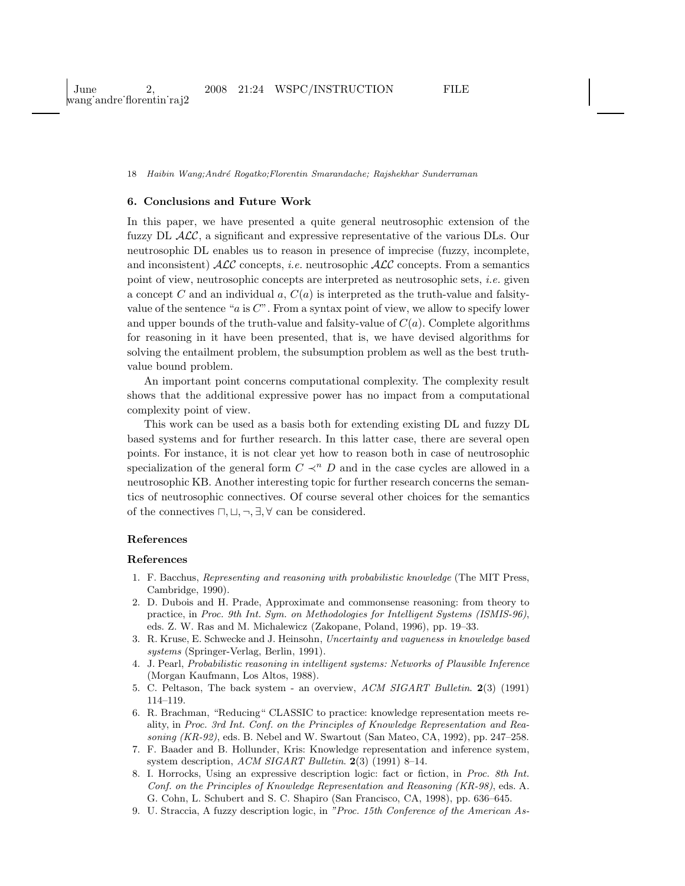# 6. Conclusions and Future Work

In this paper, we have presented a quite general neutrosophic extension of the fuzzy DL  $\mathcal{ALC}$ , a significant and expressive representative of the various DLs. Our neutrosophic DL enables us to reason in presence of imprecise (fuzzy, incomplete, and inconsistent)  $\mathcal{ALC}$  concepts, *i.e.* neutrosophic  $\mathcal{ALC}$  concepts. From a semantics point of view, neutrosophic concepts are interpreted as neutrosophic sets, i.e. given a concept C and an individual a,  $C(a)$  is interpreted as the truth-value and falsityvalue of the sentence " $a$  is  $C$ ". From a syntax point of view, we allow to specify lower and upper bounds of the truth-value and falsity-value of  $C(a)$ . Complete algorithms for reasoning in it have been presented, that is, we have devised algorithms for solving the entailment problem, the subsumption problem as well as the best truthvalue bound problem.

An important point concerns computational complexity. The complexity result shows that the additional expressive power has no impact from a computational complexity point of view.

This work can be used as a basis both for extending existing DL and fuzzy DL based systems and for further research. In this latter case, there are several open points. For instance, it is not clear yet how to reason both in case of neutrosophic specialization of the general form  $C \prec^n D$  and in the case cycles are allowed in a neutrosophic KB. Another interesting topic for further research concerns the semantics of neutrosophic connectives. Of course several other choices for the semantics of the connectives  $\sqcap, \sqcup, \neg, \exists, \forall$  can be considered.

#### References

#### <span id="page-17-0"></span>References

- 1. F. Bacchus, *Representing and reasoning with probabilistic knowledge* (The MIT Press, Cambridge, 1990).
- <span id="page-17-1"></span>2. D. Dubois and H. Prade, Approximate and commonsense reasoning: from theory to practice, in *Proc. 9th Int. Sym. on Methodologies for Intelligent Systems (ISMIS-96)*, eds. Z. W. Ras and M. Michalewicz (Zakopane, Poland, 1996), pp. 19–33.
- <span id="page-17-2"></span>3. R. Kruse, E. Schwecke and J. Heinsohn, *Uncertainty and vagueness in knowledge based systems* (Springer-Verlag, Berlin, 1991).
- <span id="page-17-3"></span>4. J. Pearl, *Probabilistic reasoning in intelligent systems: Networks of Plausible Inference* (Morgan Kaufmann, Los Altos, 1988).
- <span id="page-17-5"></span><span id="page-17-4"></span>5. C. Peltason, The back system - an overview, *ACM SIGART Bulletin*. 2(3) (1991) 114–119.
- 6. R. Brachman, "Reducing" CLASSIC to practice: knowledge representation meets reality, in *Proc. 3rd Int. Conf. on the Principles of Knowledge Representation and Reasoning (KR-92)*, eds. B. Nebel and W. Swartout (San Mateo, CA, 1992), pp. 247–258.
- <span id="page-17-6"></span>7. F. Baader and B. Hollunder, Kris: Knowledge representation and inference system, system description, *ACM SIGART Bulletin*. 2(3) (1991) 8–14.
- <span id="page-17-7"></span>8. I. Horrocks, Using an expressive description logic: fact or fiction, in *Proc. 8th Int. Conf. on the Principles of Knowledge Representation and Reasoning (KR-98)*, eds. A. G. Cohn, L. Schubert and S. C. Shapiro (San Francisco, CA, 1998), pp. 636–645.
- <span id="page-17-8"></span>9. U. Straccia, A fuzzy description logic, in *"Proc. 15th Conference of the American As-*